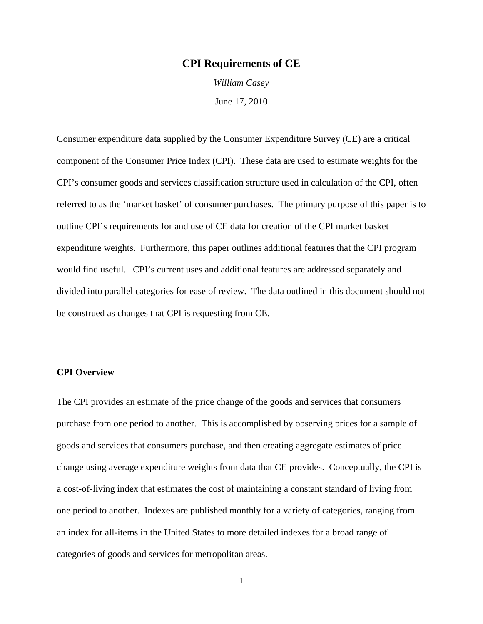# **CPI Requirements of CE**

*William Casey*  June 17, 2010

Consumer expenditure data supplied by the Consumer Expenditure Survey (CE) are a critical component of the Consumer Price Index (CPI). These data are used to estimate weights for the CPI's consumer goods and services classification structure used in calculation of the CPI, often referred to as the 'market basket' of consumer purchases. The primary purpose of this paper is to outline CPI's requirements for and use of CE data for creation of the CPI market basket expenditure weights. Furthermore, this paper outlines additional features that the CPI program would find useful. CPI's current uses and additional features are addressed separately and divided into parallel categories for ease of review. The data outlined in this document should not be construed as changes that CPI is requesting from CE.

# **CPI Overview**

The CPI provides an estimate of the price change of the goods and services that consumers purchase from one period to another. This is accomplished by observing prices for a sample of goods and services that consumers purchase, and then creating aggregate estimates of price change using average expenditure weights from data that CE provides. Conceptually, the CPI is a cost-of-living index that estimates the cost of maintaining a constant standard of living from one period to another. Indexes are published monthly for a variety of categories, ranging from an index for all-items in the United States to more detailed indexes for a broad range of categories of goods and services for metropolitan areas.

1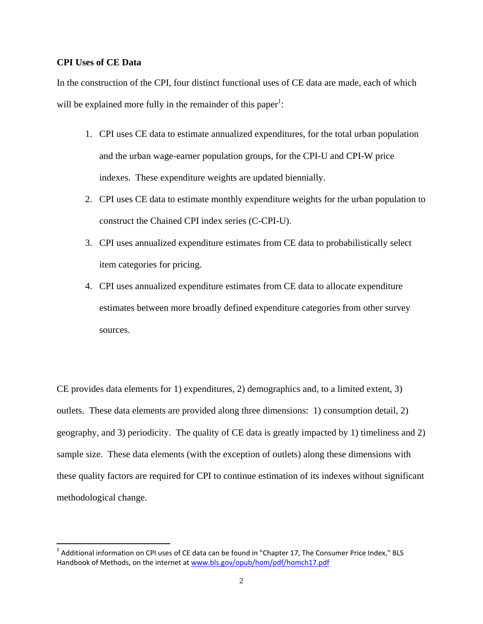# **CPI Uses of CE Data**

In the construction of the CPI, four distinct functional uses of CE data are made, each of which will be explained more fully in the remainder of this paper<sup>1</sup>:

- 1. CPI uses CE data to estimate annualized expenditures, for the total urban population and the urban wage-earner population groups, for the CPI-U and CPI-W price indexes. These expenditure weights are updated biennially.
- 2. CPI uses CE data to estimate monthly expenditure weights for the urban population to construct the Chained CPI index series (C-CPI-U).
- 3. CPI uses annualized expenditure estimates from CE data to probabilistically select item categories for pricing.
- 4. CPI uses annualized expenditure estimates from CE data to allocate expenditure estimates between more broadly defined expenditure categories from other survey sources.

CE provides data elements for 1) expenditures, 2) demographics and, to a limited extent, 3) outlets. These data elements are provided along three dimensions: 1) consumption detail, 2) geography, and 3) periodicity. The quality of CE data is greatly impacted by 1) timeliness and 2) sample size. These data elements (with the exception of outlets) along these dimensions with these quality factors are required for CPI to continue estimation of its indexes without significant methodological change.

 $1$  Additional information on CPI uses of CE data can be found in "Chapter 17, The Consumer Price Index," BLS Handbook of Methods, on the internet at www.bls.gov/opub/hom/pdf/homch17.pdf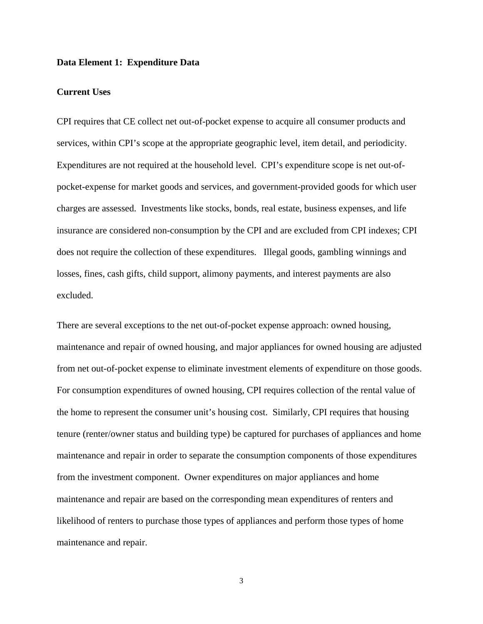# **Data Element 1: Expenditure Data**

# **Current Uses**

CPI requires that CE collect net out-of-pocket expense to acquire all consumer products and services, within CPI's scope at the appropriate geographic level, item detail, and periodicity. Expenditures are not required at the household level. CPI's expenditure scope is net out-ofpocket-expense for market goods and services, and government-provided goods for which user charges are assessed. Investments like stocks, bonds, real estate, business expenses, and life insurance are considered non-consumption by the CPI and are excluded from CPI indexes; CPI does not require the collection of these expenditures. Illegal goods, gambling winnings and losses, fines, cash gifts, child support, alimony payments, and interest payments are also excluded.

There are several exceptions to the net out-of-pocket expense approach: owned housing, maintenance and repair of owned housing, and major appliances for owned housing are adjusted from net out-of-pocket expense to eliminate investment elements of expenditure on those goods. For consumption expenditures of owned housing, CPI requires collection of the rental value of the home to represent the consumer unit's housing cost. Similarly, CPI requires that housing tenure (renter/owner status and building type) be captured for purchases of appliances and home maintenance and repair in order to separate the consumption components of those expenditures from the investment component. Owner expenditures on major appliances and home maintenance and repair are based on the corresponding mean expenditures of renters and likelihood of renters to purchase those types of appliances and perform those types of home maintenance and repair.

3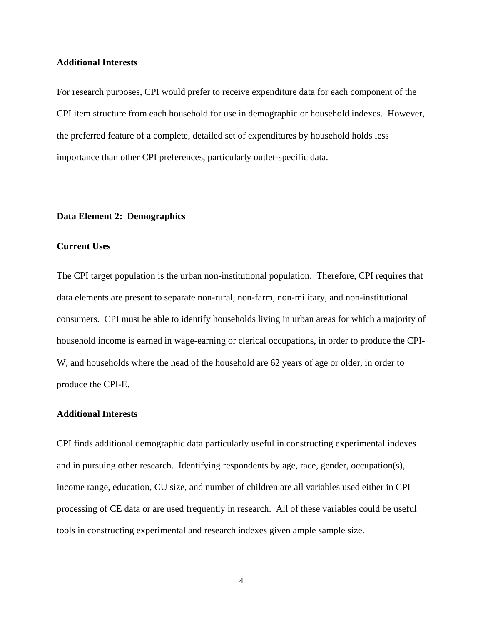# **Additional Interests**

For research purposes, CPI would prefer to receive expenditure data for each component of the CPI item structure from each household for use in demographic or household indexes. However, the preferred feature of a complete, detailed set of expenditures by household holds less importance than other CPI preferences, particularly outlet-specific data.

# **Data Element 2: Demographics**

# **Current Uses**

The CPI target population is the urban non-institutional population. Therefore, CPI requires that data elements are present to separate non-rural, non-farm, non-military, and non-institutional consumers. CPI must be able to identify households living in urban areas for which a majority of household income is earned in wage-earning or clerical occupations, in order to produce the CPI-W, and households where the head of the household are 62 years of age or older, in order to produce the CPI-E.

## **Additional Interests**

CPI finds additional demographic data particularly useful in constructing experimental indexes and in pursuing other research. Identifying respondents by age, race, gender, occupation(s), income range, education, CU size, and number of children are all variables used either in CPI processing of CE data or are used frequently in research. All of these variables could be useful tools in constructing experimental and research indexes given ample sample size.

4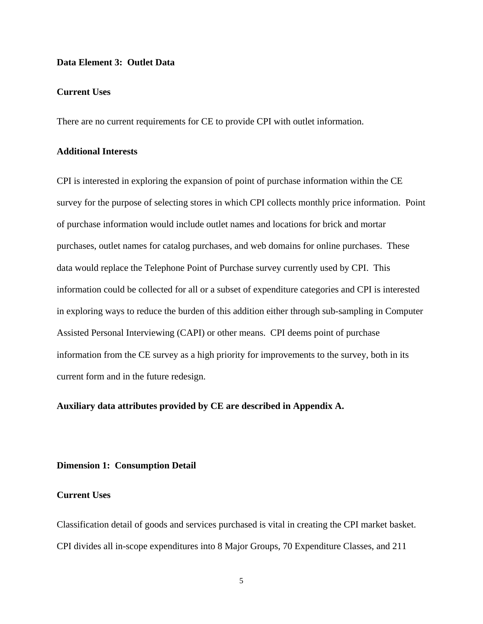# **Data Element 3: Outlet Data**

# **Current Uses**

There are no current requirements for CE to provide CPI with outlet information.

# **Additional Interests**

CPI is interested in exploring the expansion of point of purchase information within the CE survey for the purpose of selecting stores in which CPI collects monthly price information. Point of purchase information would include outlet names and locations for brick and mortar purchases, outlet names for catalog purchases, and web domains for online purchases. These data would replace the Telephone Point of Purchase survey currently used by CPI. This information could be collected for all or a subset of expenditure categories and CPI is interested in exploring ways to reduce the burden of this addition either through sub-sampling in Computer Assisted Personal Interviewing (CAPI) or other means. CPI deems point of purchase information from the CE survey as a high priority for improvements to the survey, both in its current form and in the future redesign.

# **Auxiliary data attributes provided by CE are described in Appendix A.**

# **Dimension 1: Consumption Detail**

# **Current Uses**

Classification detail of goods and services purchased is vital in creating the CPI market basket. CPI divides all in-scope expenditures into 8 Major Groups, 70 Expenditure Classes, and 211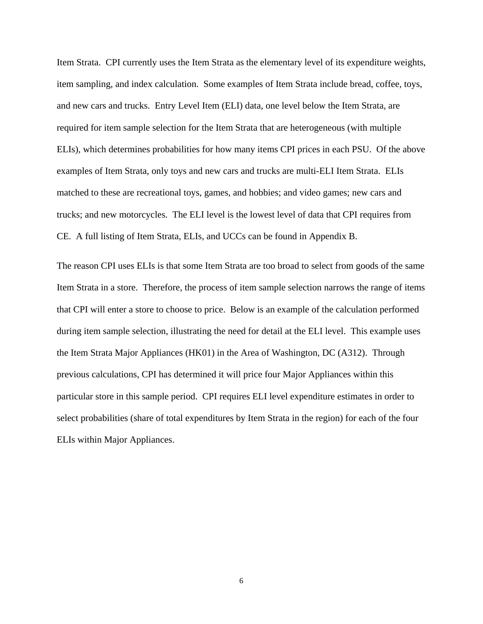Item Strata. CPI currently uses the Item Strata as the elementary level of its expenditure weights, item sampling, and index calculation. Some examples of Item Strata include bread, coffee, toys, and new cars and trucks. Entry Level Item (ELI) data, one level below the Item Strata, are required for item sample selection for the Item Strata that are heterogeneous (with multiple ELIs), which determines probabilities for how many items CPI prices in each PSU. Of the above examples of Item Strata, only toys and new cars and trucks are multi-ELI Item Strata. ELIs matched to these are recreational toys, games, and hobbies; and video games; new cars and trucks; and new motorcycles. The ELI level is the lowest level of data that CPI requires from CE. A full listing of Item Strata, ELIs, and UCCs can be found in Appendix B.

The reason CPI uses ELIs is that some Item Strata are too broad to select from goods of the same Item Strata in a store. Therefore, the process of item sample selection narrows the range of items that CPI will enter a store to choose to price. Below is an example of the calculation performed during item sample selection, illustrating the need for detail at the ELI level. This example uses the Item Strata Major Appliances (HK01) in the Area of Washington, DC (A312). Through previous calculations, CPI has determined it will price four Major Appliances within this particular store in this sample period. CPI requires ELI level expenditure estimates in order to select probabilities (share of total expenditures by Item Strata in the region) for each of the four ELIs within Major Appliances.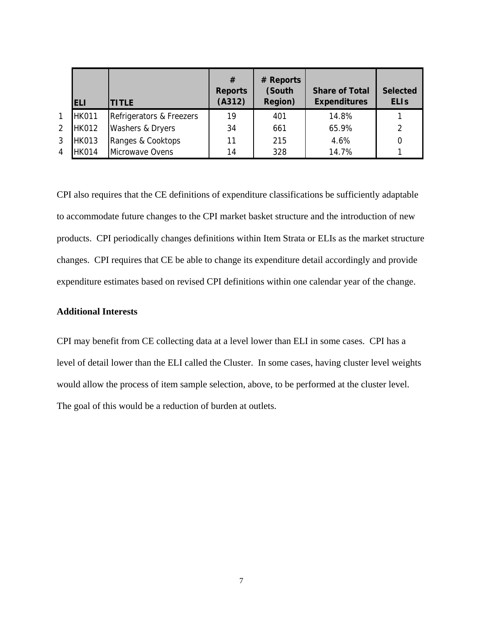|                | <b>ELI</b>   | <b>TITLE</b>             | #<br><b>Reports</b><br>(A312) | # Reports<br>(South<br>Region) | <b>Share of Total</b><br><b>Expenditures</b> | <b>Selected</b><br><b>ELIS</b> |
|----------------|--------------|--------------------------|-------------------------------|--------------------------------|----------------------------------------------|--------------------------------|
| 1              | <b>HK011</b> | Refrigerators & Freezers | 19                            | 401                            | 14.8%                                        |                                |
| $\overline{2}$ | <b>HK012</b> | Washers & Dryers         | 34                            | 661                            | 65.9%                                        | 2                              |
| 3              | <b>HK013</b> | Ranges & Cooktops        | 11                            | 215                            | 4.6%                                         |                                |
| 4              | <b>HK014</b> | Microwave Ovens          | 14                            | 328                            | 14.7%                                        |                                |

CPI also requires that the CE definitions of expenditure classifications be sufficiently adaptable to accommodate future changes to the CPI market basket structure and the introduction of new products. CPI periodically changes definitions within Item Strata or ELIs as the market structure changes. CPI requires that CE be able to change its expenditure detail accordingly and provide expenditure estimates based on revised CPI definitions within one calendar year of the change.

# **Additional Interests**

CPI may benefit from CE collecting data at a level lower than ELI in some cases. CPI has a level of detail lower than the ELI called the Cluster. In some cases, having cluster level weights would allow the process of item sample selection, above, to be performed at the cluster level. The goal of this would be a reduction of burden at outlets.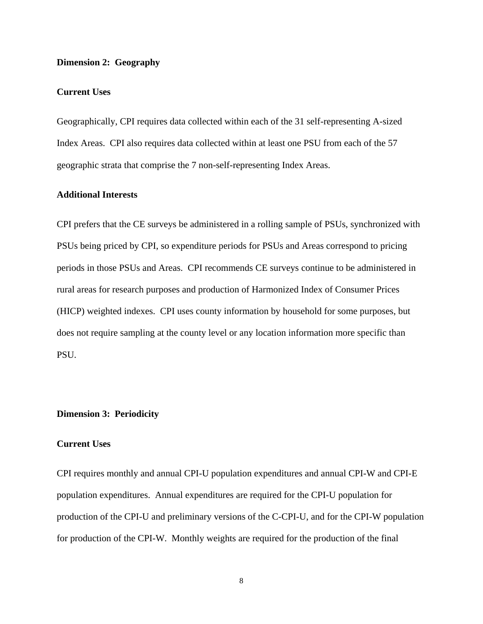# **Dimension 2: Geography**

## **Current Uses**

Geographically, CPI requires data collected within each of the 31 self-representing A-sized Index Areas. CPI also requires data collected within at least one PSU from each of the 57 geographic strata that comprise the 7 non-self-representing Index Areas.

# **Additional Interests**

CPI prefers that the CE surveys be administered in a rolling sample of PSUs, synchronized with PSUs being priced by CPI, so expenditure periods for PSUs and Areas correspond to pricing periods in those PSUs and Areas. CPI recommends CE surveys continue to be administered in rural areas for research purposes and production of Harmonized Index of Consumer Prices (HICP) weighted indexes. CPI uses county information by household for some purposes, but does not require sampling at the county level or any location information more specific than PSU.

## **Dimension 3: Periodicity**

# **Current Uses**

CPI requires monthly and annual CPI-U population expenditures and annual CPI-W and CPI-E population expenditures. Annual expenditures are required for the CPI-U population for production of the CPI-U and preliminary versions of the C-CPI-U, and for the CPI-W population for production of the CPI-W. Monthly weights are required for the production of the final

8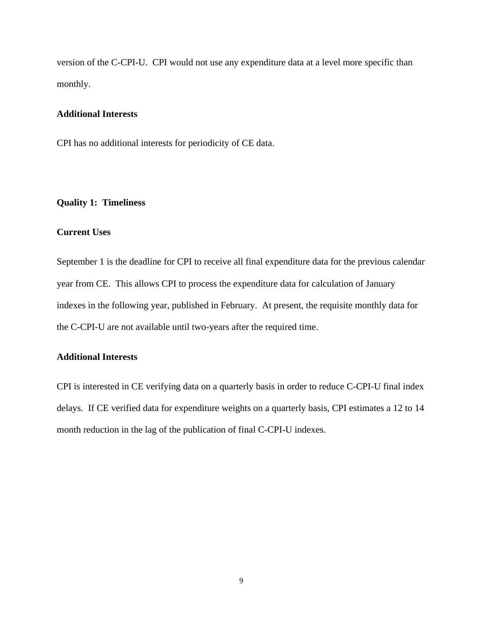version of the C-CPI-U. CPI would not use any expenditure data at a level more specific than monthly.

# **Additional Interests**

CPI has no additional interests for periodicity of CE data.

# **Quality 1: Timeliness**

# **Current Uses**

September 1 is the deadline for CPI to receive all final expenditure data for the previous calendar year from CE. This allows CPI to process the expenditure data for calculation of January indexes in the following year, published in February. At present, the requisite monthly data for the C-CPI-U are not available until two-years after the required time.

# **Additional Interests**

CPI is interested in CE verifying data on a quarterly basis in order to reduce C-CPI-U final index delays. If CE verified data for expenditure weights on a quarterly basis, CPI estimates a 12 to 14 month reduction in the lag of the publication of final C-CPI-U indexes.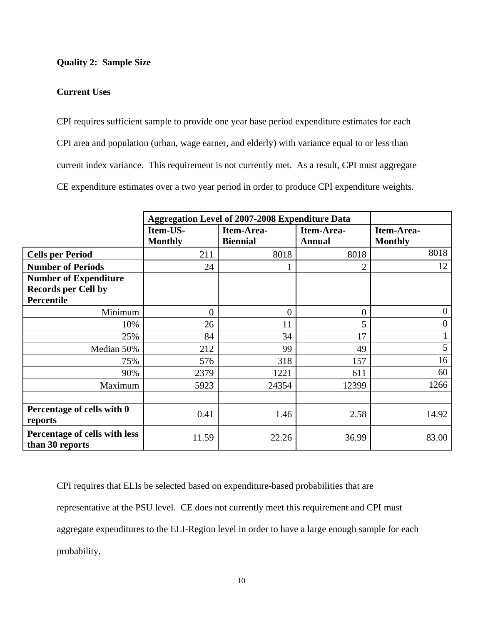# **Quality 2: Sample Size**

# **Current Uses**

CPI requires sufficient sample to provide one year base period expenditure estimates for each CPI area and population (urban, wage earner, and elderly) with variance equal to or less than current index variance. This requirement is not currently met. As a result, CPI must aggregate CE expenditure estimates over a two year period in order to produce CPI expenditure weights.

|                                                                                 | <b>Aggregation Level of 2007-2008 Expenditure Data</b> |                               |                             |                              |
|---------------------------------------------------------------------------------|--------------------------------------------------------|-------------------------------|-----------------------------|------------------------------|
|                                                                                 | Item-US-<br><b>Monthly</b>                             | Item-Area-<br><b>Biennial</b> | Item-Area-<br><b>Annual</b> | Item-Area-<br><b>Monthly</b> |
| <b>Cells per Period</b>                                                         | 211                                                    | 8018                          | 8018                        | 8018                         |
| <b>Number of Periods</b>                                                        | 24                                                     |                               | 2                           | 12                           |
| <b>Number of Expenditure</b><br><b>Records per Cell by</b><br><b>Percentile</b> |                                                        |                               |                             |                              |
| Minimum                                                                         | $\theta$                                               | $\theta$                      | $\overline{0}$              | $\overline{0}$               |
| 10%                                                                             | 26                                                     | 11                            | 5                           | $\overline{0}$               |
| 25%                                                                             | 84                                                     | 34                            | 17                          | $\mathbf{1}$                 |
| Median 50%                                                                      | 212                                                    | 99                            | 49                          | 5                            |
| 75%                                                                             | 576                                                    | 318                           | 157                         | 16                           |
| 90%                                                                             | 2379                                                   | 1221                          | 611                         | 60                           |
| Maximum                                                                         | 5923                                                   | 24354                         | 12399                       | 1266                         |
|                                                                                 |                                                        |                               |                             |                              |
| Percentage of cells with 0<br>reports                                           | 0.41                                                   | 1.46                          | 2.58                        | 14.92                        |
| Percentage of cells with less<br>than 30 reports                                | 11.59                                                  | 22.26                         | 36.99                       | 83.00                        |

CPI requires that ELIs be selected based on expenditure-based probabilities that are representative at the PSU level. CE does not currently meet this requirement and CPI must aggregate expenditures to the ELI-Region level in order to have a large enough sample for each probability.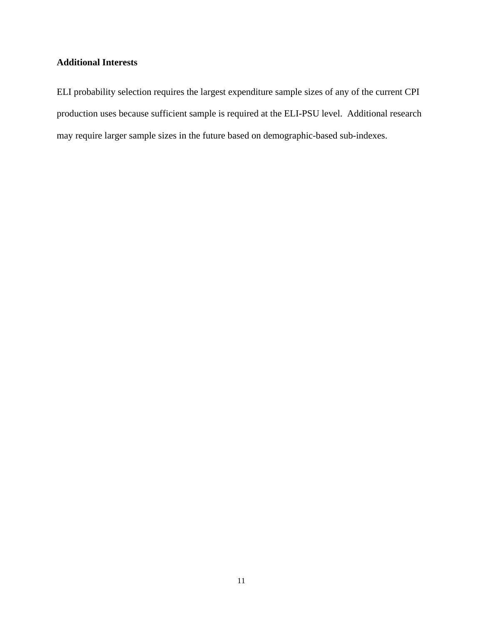# **Additional Interests**

ELI probability selection requires the largest expenditure sample sizes of any of the current CPI production uses because sufficient sample is required at the ELI-PSU level. Additional research may require larger sample sizes in the future based on demographic-based sub-indexes.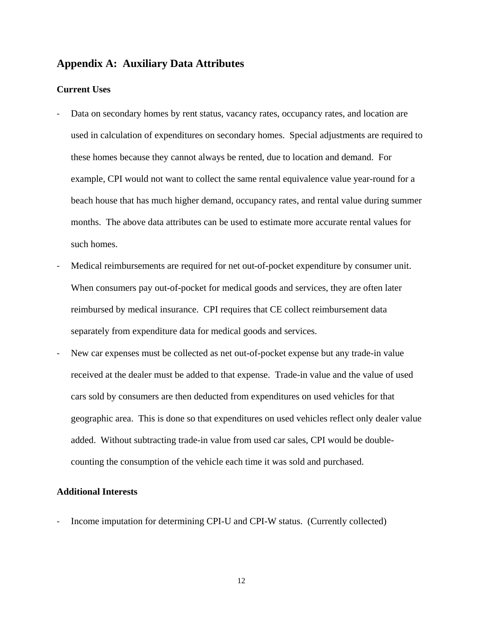# **Appendix A: Auxiliary Data Attributes**

# **Current Uses**

- ‐ Data on secondary homes by rent status, vacancy rates, occupancy rates, and location are used in calculation of expenditures on secondary homes. Special adjustments are required to these homes because they cannot always be rented, due to location and demand. For example, CPI would not want to collect the same rental equivalence value year-round for a beach house that has much higher demand, occupancy rates, and rental value during summer months. The above data attributes can be used to estimate more accurate rental values for such homes.
- Medical reimbursements are required for net out-of-pocket expenditure by consumer unit. When consumers pay out-of-pocket for medical goods and services, they are often later reimbursed by medical insurance. CPI requires that CE collect reimbursement data separately from expenditure data for medical goods and services.
- ‐ New car expenses must be collected as net out-of-pocket expense but any trade-in value received at the dealer must be added to that expense. Trade-in value and the value of used cars sold by consumers are then deducted from expenditures on used vehicles for that geographic area. This is done so that expenditures on used vehicles reflect only dealer value added. Without subtracting trade-in value from used car sales, CPI would be doublecounting the consumption of the vehicle each time it was sold and purchased.

# **Additional Interests**

‐ Income imputation for determining CPI-U and CPI-W status. (Currently collected)

12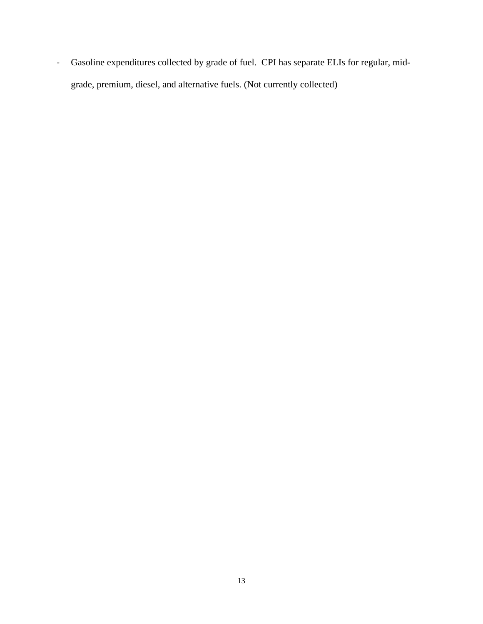‐ Gasoline expenditures collected by grade of fuel. CPI has separate ELIs for regular, midgrade, premium, diesel, and alternative fuels. (Not currently collected)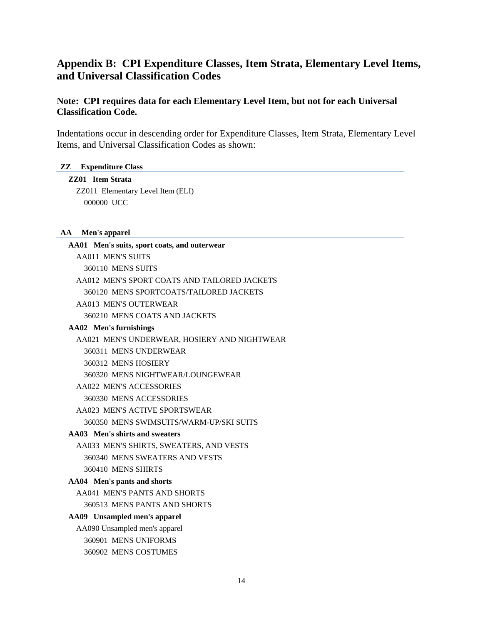# **Appendix B: CPI Expenditure Classes, Item Strata, Elementary Level Items, and Universal Classification Codes**

# **Note: CPI requires data for each Elementary Level Item, but not for each Universal Classification Code.**

Indentations occur in descending order for Expenditure Classes, Item Strata, Elementary Level Items, and Universal Classification Codes as shown:

## **ZZ Expenditure Class**

**ZZ01 Item Strata**  ZZ011 Elementary Level Item (ELI) 000000 UCC

# **AA Men's apparel**

| AA01 Men's suits, sport coats, and outerwear |
|----------------------------------------------|
| <b>AA011 MEN'S SUITS</b>                     |
| 360110 MENS SUITS                            |
| AA012 MEN'S SPORT COATS AND TAILORED JACKETS |
| 360120 MENS SPORTCOATS/TAILORED JACKETS      |
| AA013 MEN'S OUTERWEAR                        |
| 360210 MENS COATS AND JACKETS                |
| AA02 Men's furnishings                       |
| AA021 MEN'S UNDERWEAR, HOSIERY AND NIGHTWEAR |
| 360311 MENS UNDERWEAR                        |
| 360312 MENS HOSIERY                          |
| 360320 MENS NIGHTWEAR/LOUNGEWEAR             |
| AA022 MEN'S ACCESSORIES                      |
| 360330 MENS ACCESSORIES                      |
| AA023 MEN'S ACTIVE SPORTSWEAR                |
| 360350 MENS SWIMSUITS/WARM-UP/SKI SUITS      |
| AA03 Men's shirts and sweaters               |
| AA033 MEN'S SHIRTS, SWEATERS, AND VESTS      |
| 360340 MENS SWEATERS AND VESTS               |
| 360410 MENS SHIRTS                           |
| AA04 Men's pants and shorts                  |
| AA041 MEN'S PANTS AND SHORTS                 |
| 360513 MENS PANTS AND SHORTS                 |
| AA09 Unsampled men's apparel                 |
| AA090 Unsampled men's apparel                |
| 360901 MENS UNIFORMS                         |
| 360902 MENS COSTUMES                         |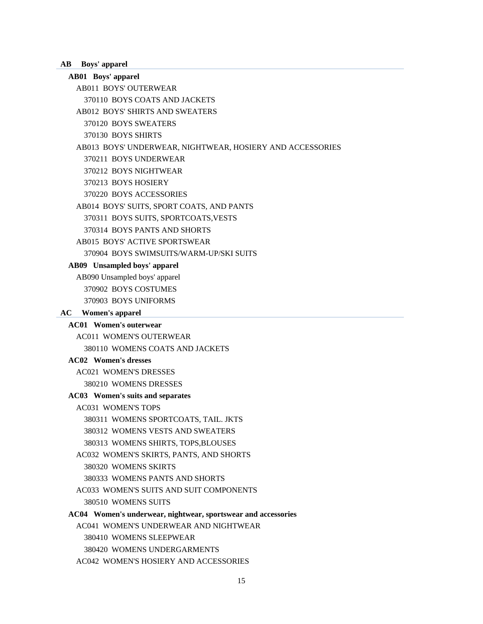**AB Boys' apparel** 

# **AB01 Boys' apparel**

AB011 BOYS' OUTERWEAR

370110 BOYS COATS AND JACKETS

AB012 BOYS' SHIRTS AND SWEATERS

370120 BOYS SWEATERS

370130 BOYS SHIRTS

AB013 BOYS' UNDERWEAR, NIGHTWEAR, HOSIERY AND ACCESSORIES

370211 BOYS UNDERWEAR

370212 BOYS NIGHTWEAR

370213 BOYS HOSIERY

370220 BOYS ACCESSORIES

AB014 BOYS' SUITS, SPORT COATS, AND PANTS

370311 BOYS SUITS, SPORTCOATS,VESTS

370314 BOYS PANTS AND SHORTS

AB015 BOYS' ACTIVE SPORTSWEAR

370904 BOYS SWIMSUITS/WARM-UP/SKI SUITS

# **AB09 Unsampled boys' apparel**

AB090 Unsampled boys' apparel

370902 BOYS COSTUMES

370903 BOYS UNIFORMS

# **AC Women's apparel**

# **AC01 Women's outerwear**

AC011 WOMEN'S OUTERWEAR

380110 WOMENS COATS AND JACKETS

# **AC02 Women's dresses**

AC021 WOMEN'S DRESSES 380210 WOMENS DRESSES

#### **AC03 Women's suits and separates**

AC031 WOMEN'S TOPS

380311 WOMENS SPORTCOATS, TAIL. JKTS

380312 WOMENS VESTS AND SWEATERS

380313 WOMENS SHIRTS, TOPS,BLOUSES

AC032 WOMEN'S SKIRTS, PANTS, AND SHORTS

380320 WOMENS SKIRTS

380333 WOMENS PANTS AND SHORTS

AC033 WOMEN'S SUITS AND SUIT COMPONENTS 380510 WOMENS SUITS

**AC04 Women's underwear, nightwear, sportswear and accessories** 

AC041 WOMEN'S UNDERWEAR AND NIGHTWEAR

380410 WOMENS SLEEPWEAR

380420 WOMENS UNDERGARMENTS

AC042 WOMEN'S HOSIERY AND ACCESSORIES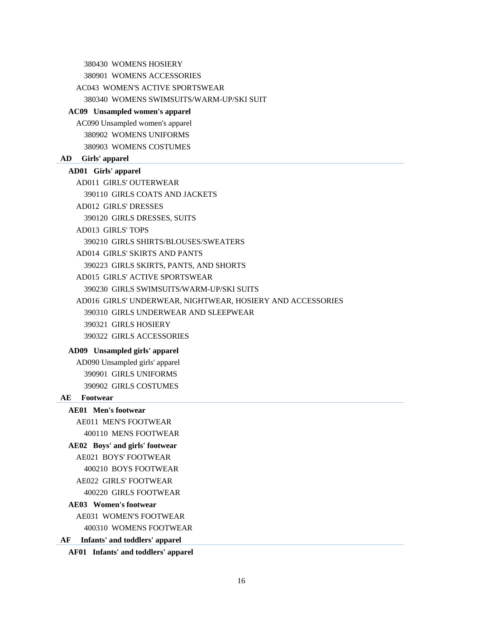380430 WOMENS HOSIERY

380901 WOMENS ACCESSORIES

AC043 WOMEN'S ACTIVE SPORTSWEAR

380340 WOMENS SWIMSUITS/WARM-UP/SKI SUIT

#### **AC09 Unsampled women's apparel**

AC090 Unsampled women's apparel 380902 WOMENS UNIFORMS 380903 WOMENS COSTUMES

#### **AD Girls' apparel**

## **AD01 Girls' apparel**

AD011 GIRLS' OUTERWEAR 390110 GIRLS COATS AND JACKETS AD012 GIRLS' DRESSES 390120 GIRLS DRESSES, SUITS AD013 GIRLS' TOPS 390210 GIRLS SHIRTS/BLOUSES/SWEATERS AD014 GIRLS' SKIRTS AND PANTS 390223 GIRLS SKIRTS, PANTS, AND SHORTS AD015 GIRLS' ACTIVE SPORTSWEAR 390230 GIRLS SWIMSUITS/WARM-UP/SKI SUITS AD016 GIRLS' UNDERWEAR, NIGHTWEAR, HOSIERY AND ACCESSORIES 390310 GIRLS UNDERWEAR AND SLEEPWEAR 390321 GIRLS HOSIERY 390322 GIRLS ACCESSORIES

## **AD09 Unsampled girls' apparel**

AD090 Unsampled girls' apparel 390901 GIRLS UNIFORMS 390902 GIRLS COSTUMES

#### **AE Footwear**

#### **AE01 Men's footwear**

AE011 MEN'S FOOTWEAR 400110 MENS FOOTWEAR

### **AE02 Boys' and girls' footwear**

AE021 BOYS' FOOTWEAR

400210 BOYS FOOTWEAR

AE022 GIRLS' FOOTWEAR

400220 GIRLS FOOTWEAR

#### **AE03 Women's footwear**

AE031 WOMEN'S FOOTWEAR

400310 WOMENS FOOTWEAR

# **AF Infants' and toddlers' apparel**

**AF01 Infants' and toddlers' apparel**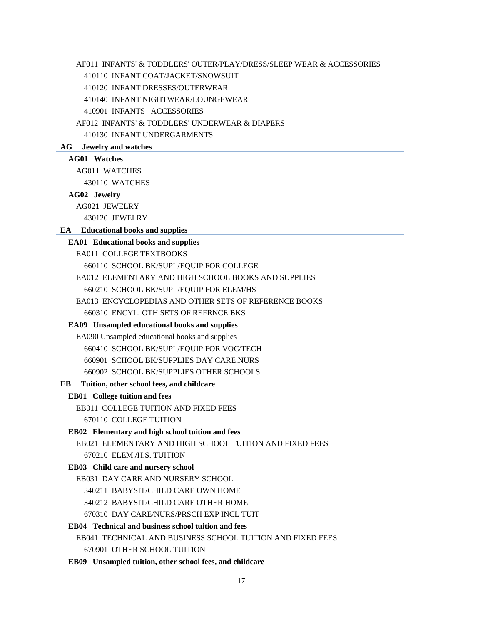AF011 INFANTS' & TODDLERS' OUTER/PLAY/DRESS/SLEEP WEAR & ACCESSORIES

410110 INFANT COAT/JACKET/SNOWSUIT

410120 INFANT DRESSES/OUTERWEAR

410140 INFANT NIGHTWEAR/LOUNGEWEAR

410901 INFANTS ACCESSORIES

AF012 INFANTS' & TODDLERS' UNDERWEAR & DIAPERS

410130 INFANT UNDERGARMENTS

## **AG Jewelry and watches**

#### **AG01 Watches**

AG011 WATCHES

430110 WATCHES

## **AG02 Jewelry**

AG021 JEWELRY

430120 JEWELRY

## **EA Educational books and supplies**

# **EA01 Educational books and supplies**

EA011 COLLEGE TEXTBOOKS

660110 SCHOOL BK/SUPL/EQUIP FOR COLLEGE

EA012 ELEMENTARY AND HIGH SCHOOL BOOKS AND SUPPLIES 660210 SCHOOL BK/SUPL/EQUIP FOR ELEM/HS

EA013 ENCYCLOPEDIAS AND OTHER SETS OF REFERENCE BOOKS 660310 ENCYL. OTH SETS OF REFRNCE BKS

#### **EA09 Unsampled educational books and supplies**

EA090 Unsampled educational books and supplies 660410 SCHOOL BK/SUPL/EQUIP FOR VOC/TECH 660901 SCHOOL BK/SUPPLIES DAY CARE,NURS 660902 SCHOOL BK/SUPPLIES OTHER SCHOOLS

#### **EB Tuition, other school fees, and childcare**

#### **EB01 College tuition and fees**

EB011 COLLEGE TUITION AND FIXED FEES 670110 COLLEGE TUITION

#### **EB02 Elementary and high school tuition and fees**

EB021 ELEMENTARY AND HIGH SCHOOL TUITION AND FIXED FEES 670210 ELEM./H.S. TUITION

## **EB03 Child care and nursery school**

EB031 DAY CARE AND NURSERY SCHOOL 340211 BABYSIT/CHILD CARE OWN HOME 340212 BABYSIT/CHILD CARE OTHER HOME 670310 DAY CARE/NURS/PRSCH EXP INCL TUIT

#### **EB04 Technical and business school tuition and fees**

EB041 TECHNICAL AND BUSINESS SCHOOL TUITION AND FIXED FEES 670901 OTHER SCHOOL TUITION

**EB09 Unsampled tuition, other school fees, and childcare**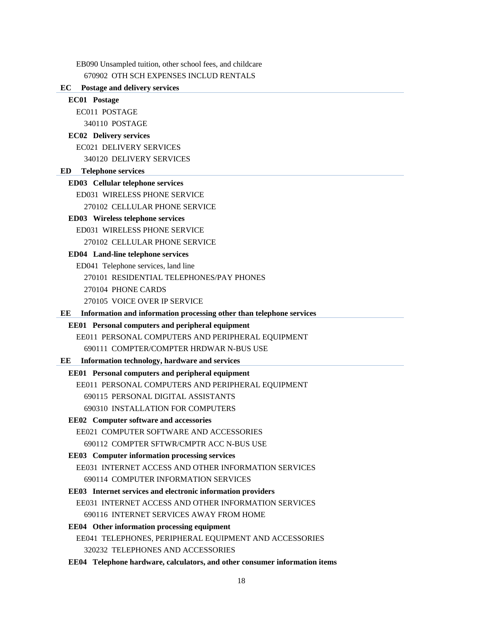EB090 Unsampled tuition, other school fees, and childcare

#### 670902 OTH SCH EXPENSES INCLUD RENTALS

#### **EC Postage and delivery services**

# **EC01 Postage**  EC011 POSTAGE 340110 POSTAGE

# **EC02 Delivery services**

EC021 DELIVERY SERVICES 340120 DELIVERY SERVICES

#### **ED Telephone services**

#### **ED03 Cellular telephone services**

ED031 WIRELESS PHONE SERVICE

#### 270102 CELLULAR PHONE SERVICE

#### **ED03 Wireless telephone services**

ED031 WIRELESS PHONE SERVICE

270102 CELLULAR PHONE SERVICE

#### **ED04 Land-line telephone services**

ED041 Telephone services, land line 270101 RESIDENTIAL TELEPHONES/PAY PHONES 270104 PHONE CARDS 270105 VOICE OVER IP SERVICE

#### **EE Information and information processing other than telephone services**

## **EE01 Personal computers and peripheral equipment**

EE011 PERSONAL COMPUTERS AND PERIPHERAL EQUIPMENT

690111 COMPTER/COMPTER HRDWAR N-BUS USE

# **EE Information technology, hardware and services**

# **EE01 Personal computers and peripheral equipment**

EE011 PERSONAL COMPUTERS AND PERIPHERAL EQUIPMENT

690115 PERSONAL DIGITAL ASSISTANTS

690310 INSTALLATION FOR COMPUTERS

# **EE02 Computer software and accessories**

EE021 COMPUTER SOFTWARE AND ACCESSORIES

690112 COMPTER SFTWR/CMPTR ACC N-BUS USE

# **EE03 Computer information processing services**

EE031 INTERNET ACCESS AND OTHER INFORMATION SERVICES 690114 COMPUTER INFORMATION SERVICES

#### **EE03 Internet services and electronic information providers**

EE031 INTERNET ACCESS AND OTHER INFORMATION SERVICES 690116 INTERNET SERVICES AWAY FROM HOME

#### **EE04 Other information processing equipment**

EE041 TELEPHONES, PERIPHERAL EQUIPMENT AND ACCESSORIES 320232 TELEPHONES AND ACCESSORIES

**EE04 Telephone hardware, calculators, and other consumer information items**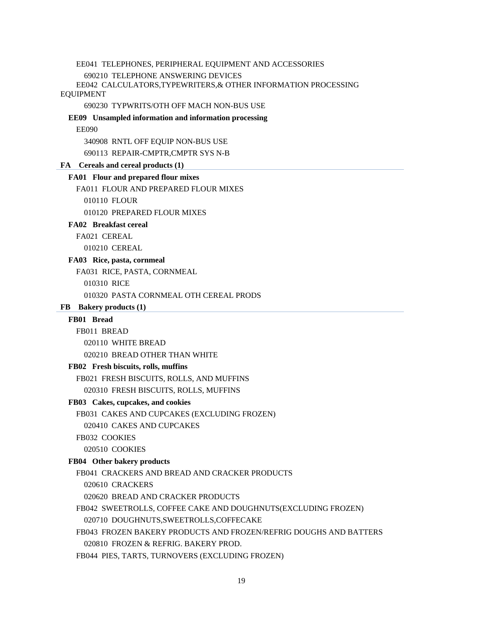EE041 TELEPHONES, PERIPHERAL EQUIPMENT AND ACCESSORIES

690210 TELEPHONE ANSWERING DEVICES

EE042 CALCULATORS,TYPEWRITERS,& OTHER INFORMATION PROCESSING EQUIPMENT

690230 TYPWRITS/OTH OFF MACH NON-BUS USE

**EE09 Unsampled information and information processing** 

EE090

340908 RNTL OFF EQUIP NON-BUS USE

690113 REPAIR-CMPTR,CMPTR SYS N-B

#### **FA Cereals and cereal products (1)**

## **FA01 Flour and prepared flour mixes**

FA011 FLOUR AND PREPARED FLOUR MIXES

010110 FLOUR

010120 PREPARED FLOUR MIXES

#### **FA02 Breakfast cereal**

FA021 CEREAL

010210 CEREAL

#### **FA03 Rice, pasta, cornmeal**

FA031 RICE, PASTA, CORNMEAL

010310 RICE

010320 PASTA CORNMEAL OTH CEREAL PRODS

#### **FB Bakery products (1)**

# **FB01 Bread**

FB011 BREAD

020110 WHITE BREAD

020210 BREAD OTHER THAN WHITE

#### **FB02 Fresh biscuits, rolls, muffins**

FB021 FRESH BISCUITS, ROLLS, AND MUFFINS

020310 FRESH BISCUITS, ROLLS, MUFFINS

## **FB03 Cakes, cupcakes, and cookies**

FB031 CAKES AND CUPCAKES (EXCLUDING FROZEN)

020410 CAKES AND CUPCAKES

FB032 COOKIES

020510 COOKIES

#### **FB04 Other bakery products**

FB041 CRACKERS AND BREAD AND CRACKER PRODUCTS

020610 CRACKERS

020620 BREAD AND CRACKER PRODUCTS

FB042 SWEETROLLS, COFFEE CAKE AND DOUGHNUTS(EXCLUDING FROZEN)

020710 DOUGHNUTS,SWEETROLLS,COFFECAKE

FB043 FROZEN BAKERY PRODUCTS AND FROZEN/REFRIG DOUGHS AND BATTERS

020810 FROZEN & REFRIG. BAKERY PROD.

FB044 PIES, TARTS, TURNOVERS (EXCLUDING FROZEN)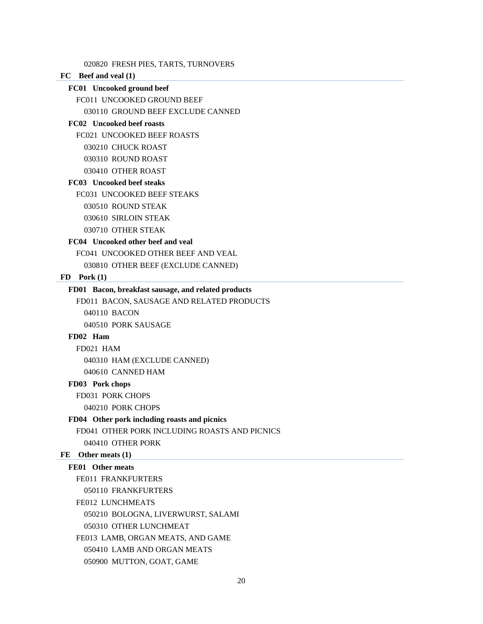020820 FRESH PIES, TARTS, TURNOVERS

# **FC Beef and veal (1)**

**FC01 Uncooked ground beef**  FC011 UNCOOKED GROUND BEEF 030110 GROUND BEEF EXCLUDE CANNED

#### **FC02 Uncooked beef roasts**

FC021 UNCOOKED BEEF ROASTS

030210 CHUCK ROAST

030310 ROUND ROAST

030410 OTHER ROAST

# **FC03 Uncooked beef steaks**

FC031 UNCOOKED BEEF STEAKS

030510 ROUND STEAK

030610 SIRLOIN STEAK

030710 OTHER STEAK

# **FC04 Uncooked other beef and veal**

FC041 UNCOOKED OTHER BEEF AND VEAL

030810 OTHER BEEF (EXCLUDE CANNED)

## **FD Pork (1)**

## **FD01 Bacon, breakfast sausage, and related products**

FD011 BACON, SAUSAGE AND RELATED PRODUCTS 040110 BACON 040510 PORK SAUSAGE

# **FD02 Ham**

FD021 HAM 040310 HAM (EXCLUDE CANNED) 040610 CANNED HAM

#### **FD03 Pork chops**

FD031 PORK CHOPS

040210 PORK CHOPS

#### **FD04 Other pork including roasts and picnics**

FD041 OTHER PORK INCLUDING ROASTS AND PICNICS

040410 OTHER PORK

# **FE Other meats (1)**

# **FE01 Other meats**

FE011 FRANKFURTERS 050110 FRANKFURTERS

FE012 LUNCHMEATS

050210 BOLOGNA, LIVERWURST, SALAMI

050310 OTHER LUNCHMEAT

FE013 LAMB, ORGAN MEATS, AND GAME

050410 LAMB AND ORGAN MEATS

050900 MUTTON, GOAT, GAME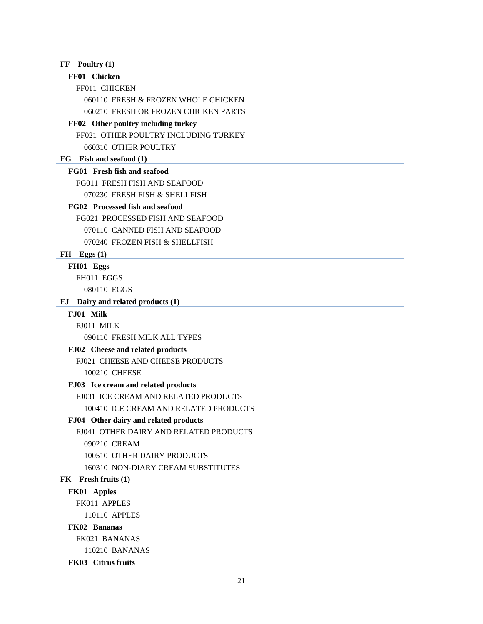| FF | Poultry $(1)$ |  |
|----|---------------|--|
|    |               |  |

# **FF01 Chicken**

FF011 CHICKEN

060110 FRESH & FROZEN WHOLE CHICKEN 060210 FRESH OR FROZEN CHICKEN PARTS

#### **FF02 Other poultry including turkey**

FF021 OTHER POULTRY INCLUDING TURKEY

060310 OTHER POULTRY

# **FG Fish and seafood (1)**

# **FG01 Fresh fish and seafood**

FG011 FRESH FISH AND SEAFOOD 070230 FRESH FISH & SHELLFISH

#### **FG02 Processed fish and seafood**

FG021 PROCESSED FISH AND SEAFOOD 070110 CANNED FISH AND SEAFOOD

070240 FROZEN FISH & SHELLFISH

# **FH Eggs (1)**

# **FH01 Eggs**

FH011 EGGS 080110 EGGS

#### **FJ Dairy and related products (1)**

## **FJ01 Milk**

FJ011 MILK 090110 FRESH MILK ALL TYPES

#### **FJ02 Cheese and related products**

FJ021 CHEESE AND CHEESE PRODUCTS

100210 CHEESE

## **FJ03 Ice cream and related products**

FJ031 ICE CREAM AND RELATED PRODUCTS

100410 ICE CREAM AND RELATED PRODUCTS

# **FJ04 Other dairy and related products**

FJ041 OTHER DAIRY AND RELATED PRODUCTS

090210 CREAM

100510 OTHER DAIRY PRODUCTS

# 160310 NON-DIARY CREAM SUBSTITUTES

#### **FK Fresh fruits (1)**

**FK01 Apples** 

FK011 APPLES

110110 APPLES

# **FK02 Bananas**

FK021 BANANAS

110210 BANANAS

**FK03 Citrus fruits**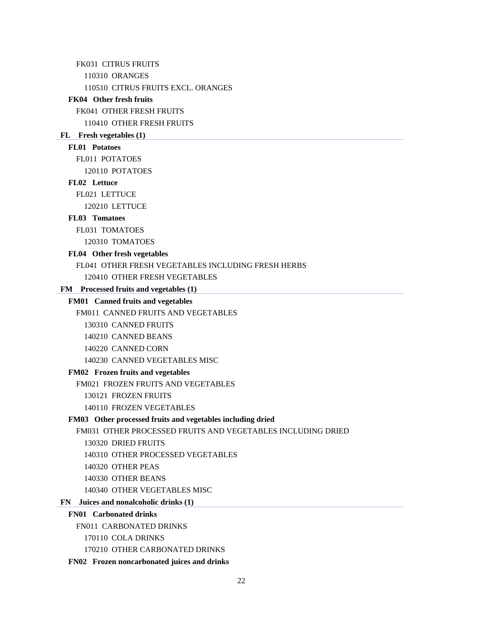FK031 CITRUS FRUITS

110310 ORANGES

110510 CITRUS FRUITS EXCL. ORANGES

## **FK04 Other fresh fruits**

FK041 OTHER FRESH FRUITS

110410 OTHER FRESH FRUITS

#### **FL Fresh vegetables (1)**

## **FL01 Potatoes**

FL011 POTATOES

120110 POTATOES

## **FL02 Lettuce**

FL021 LETTUCE

120210 LETTUCE

# **FL03 Tomatoes**

FL031 TOMATOES

120310 TOMATOES

#### **FL04 Other fresh vegetables**

FL041 OTHER FRESH VEGETABLES INCLUDING FRESH HERBS

120410 OTHER FRESH VEGETABLES

# **FM Processed fruits and vegetables (1)**

## **FM01 Canned fruits and vegetables**

FM011 CANNED FRUITS AND VEGETABLES

130310 CANNED FRUITS

140210 CANNED BEANS

140220 CANNED CORN

140230 CANNED VEGETABLES MISC

# **FM02 Frozen fruits and vegetables**

FM021 FROZEN FRUITS AND VEGETABLES

130121 FROZEN FRUITS

140110 FROZEN VEGETABLES

#### **FM03 Other processed fruits and vegetables including dried**

FM031 OTHER PROCESSED FRUITS AND VEGETABLES INCLUDING DRIED

130320 DRIED FRUITS

140310 OTHER PROCESSED VEGETABLES

- 140320 OTHER PEAS
- 140330 OTHER BEANS
- 140340 OTHER VEGETABLES MISC

# **FN Juices and nonalcoholic drinks (1)**

# **FN01 Carbonated drinks**

FN011 CARBONATED DRINKS

- 170110 COLA DRINKS
- 170210 OTHER CARBONATED DRINKS

#### **FN02 Frozen noncarbonated juices and drinks**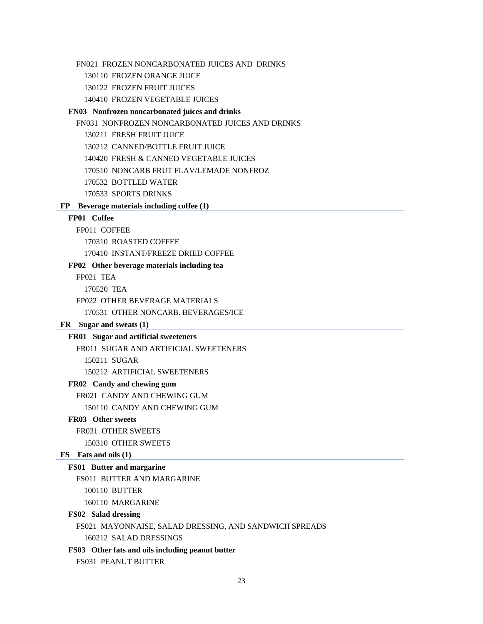FN021 FROZEN NONCARBONATED JUICES AND DRINKS

130110 FROZEN ORANGE JUICE

130122 FROZEN FRUIT JUICES

140410 FROZEN VEGETABLE JUICES

#### **FN03 Nonfrozen noncarbonated juices and drinks**

FN031 NONFROZEN NONCARBONATED JUICES AND DRINKS

130211 FRESH FRUIT JUICE

130212 CANNED/BOTTLE FRUIT JUICE

140420 FRESH & CANNED VEGETABLE JUICES

170510 NONCARB FRUT FLAV/LEMADE NONFROZ

170532 BOTTLED WATER

170533 SPORTS DRINKS

#### **FP Beverage materials including coffee (1)**

#### **FP01 Coffee**

FP011 COFFEE

170310 ROASTED COFFEE

170410 INSTANT/FREEZE DRIED COFFEE

#### **FP02 Other beverage materials including tea**

FP021 TEA

170520 TEA

FP022 OTHER BEVERAGE MATERIALS

170531 OTHER NONCARB. BEVERAGES/ICE

## **FR Sugar and sweats (1)**

#### **FR01 Sugar and artificial sweeteners**

FR011 SUGAR AND ARTIFICIAL SWEETENERS

150211 SUGAR

150212 ARTIFICIAL SWEETENERS

# **FR02 Candy and chewing gum**

FR021 CANDY AND CHEWING GUM

150110 CANDY AND CHEWING GUM

# **FR03 Other sweets**

# FR031 OTHER SWEETS

150310 OTHER SWEETS

## **FS Fats and oils (1)**

## **FS01 Butter and margarine**

FS011 BUTTER AND MARGARINE

```
100110 BUTTER
```
160110 MARGARINE

#### **FS02 Salad dressing**

FS021 MAYONNAISE, SALAD DRESSING, AND SANDWICH SPREADS 160212 SALAD DRESSINGS

#### **FS03 Other fats and oils including peanut butter**

FS031 PEANUT BUTTER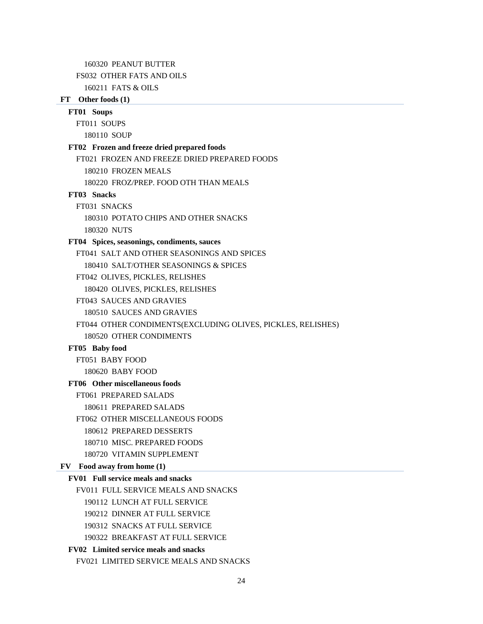160320 PEANUT BUTTER

FS032 OTHER FATS AND OILS

160211 FATS & OILS

# **FT Other foods (1)**

**FT01 Soups**  FT011 SOUPS

180110 SOUP

## **FT02 Frozen and freeze dried prepared foods**

FT021 FROZEN AND FREEZE DRIED PREPARED FOODS 180210 FROZEN MEALS 180220 FROZ/PREP. FOOD OTH THAN MEALS **FT03 Snacks**  FT031 SNACKS 180310 POTATO CHIPS AND OTHER SNACKS 180320 NUTS **FT04 Spices, seasonings, condiments, sauces**  FT041 SALT AND OTHER SEASONINGS AND SPICES 180410 SALT/OTHER SEASONINGS & SPICES FT042 OLIVES, PICKLES, RELISHES 180420 OLIVES, PICKLES, RELISHES FT043 SAUCES AND GRAVIES 180510 SAUCES AND GRAVIES FT044 OTHER CONDIMENTS(EXCLUDING OLIVES, PICKLES, RELISHES) 180520 OTHER CONDIMENTS **FT05 Baby food**  FT051 BABY FOOD 180620 BABY FOOD **FT06 Other miscellaneous foods**  FT061 PREPARED SALADS 180611 PREPARED SALADS FT062 OTHER MISCELLANEOUS FOODS 180612 PREPARED DESSERTS 180710 MISC. PREPARED FOODS 180720 VITAMIN SUPPLEMENT **FV Food away from home (1) FV01 Full service meals and snacks**  FV011 FULL SERVICE MEALS AND SNACKS 190112 LUNCH AT FULL SERVICE

190212 DINNER AT FULL SERVICE

190312 SNACKS AT FULL SERVICE

190322 BREAKFAST AT FULL SERVICE

#### **FV02 Limited service meals and snacks**

FV021 LIMITED SERVICE MEALS AND SNACKS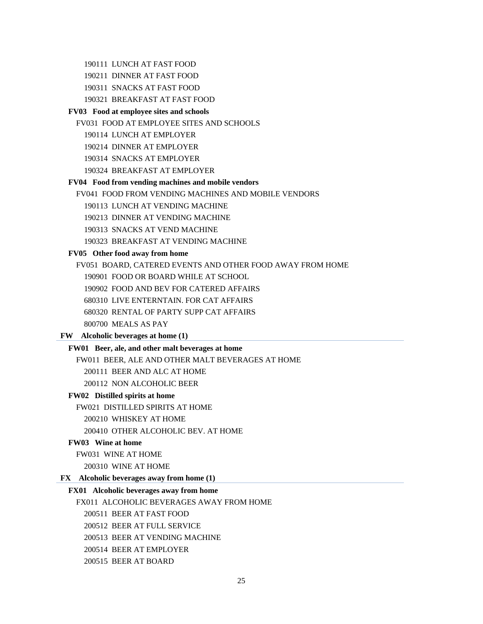- 190111 LUNCH AT FAST FOOD
- 190211 DINNER AT FAST FOOD
- 190311 SNACKS AT FAST FOOD
- 190321 BREAKFAST AT FAST FOOD

#### **FV03 Food at employee sites and schools**

- FV031 FOOD AT EMPLOYEE SITES AND SCHOOLS
	- 190114 LUNCH AT EMPLOYER
	- 190214 DINNER AT EMPLOYER
	- 190314 SNACKS AT EMPLOYER
	- 190324 BREAKFAST AT EMPLOYER

#### **FV04 Food from vending machines and mobile vendors**

- FV041 FOOD FROM VENDING MACHINES AND MOBILE VENDORS
	- 190113 LUNCH AT VENDING MACHINE
	- 190213 DINNER AT VENDING MACHINE
	- 190313 SNACKS AT VEND MACHINE
	- 190323 BREAKFAST AT VENDING MACHINE

#### **FV05 Other food away from home**

FV051 BOARD, CATERED EVENTS AND OTHER FOOD AWAY FROM HOME

190901 FOOD OR BOARD WHILE AT SCHOOL

190902 FOOD AND BEV FOR CATERED AFFAIRS

- 680310 LIVE ENTERNTAIN. FOR CAT AFFAIRS
- 680320 RENTAL OF PARTY SUPP CAT AFFAIRS

800700 MEALS AS PAY

#### **FW Alcoholic beverages at home (1)**

#### **FW01 Beer, ale, and other malt beverages at home**

FW011 BEER, ALE AND OTHER MALT BEVERAGES AT HOME

200111 BEER AND ALC AT HOME

200112 NON ALCOHOLIC BEER

# **FW02 Distilled spirits at home**

FW021 DISTILLED SPIRITS AT HOME

200210 WHISKEY AT HOME

200410 OTHER ALCOHOLIC BEV. AT HOME

#### **FW03 Wine at home**

FW031 WINE AT HOME

200310 WINE AT HOME

# **FX Alcoholic beverages away from home (1)**

## **FX01 Alcoholic beverages away from home**

FX011 ALCOHOLIC BEVERAGES AWAY FROM HOME

- 200511 BEER AT FAST FOOD
- 200512 BEER AT FULL SERVICE
- 200513 BEER AT VENDING MACHINE
- 200514 BEER AT EMPLOYER
- 200515 BEER AT BOARD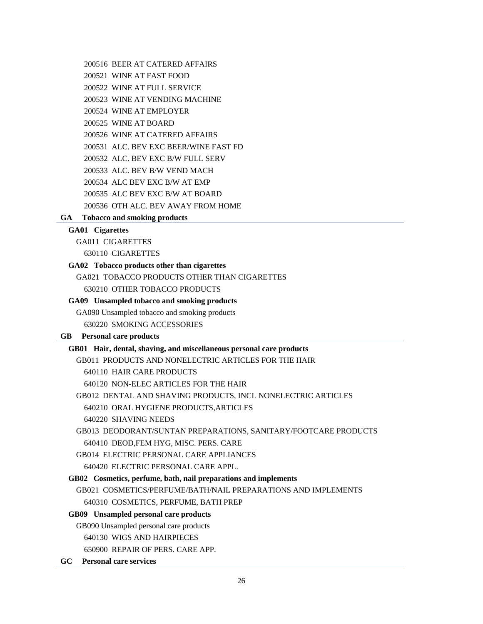## 200516 BEER AT CATERED AFFAIRS

200521 WINE AT FAST FOOD

200522 WINE AT FULL SERVICE

200523 WINE AT VENDING MACHINE

200524 WINE AT EMPLOYER

200525 WINE AT BOARD

200526 WINE AT CATERED AFFAIRS

200531 ALC. BEV EXC BEER/WINE FAST FD

200532 ALC. BEV EXC B/W FULL SERV

200533 ALC. BEV B/W VEND MACH

- 200534 ALC BEV EXC B/W AT EMP
- 200535 ALC BEV EXC B/W AT BOARD
- 200536 OTH ALC. BEV AWAY FROM HOME

# **GA Tobacco and smoking products**

# **GA01 Cigarettes**

GA011 CIGARETTES

630110 CIGARETTES

# **GA02 Tobacco products other than cigarettes**

GA021 TOBACCO PRODUCTS OTHER THAN CIGARETTES 630210 OTHER TOBACCO PRODUCTS

# **GA09 Unsampled tobacco and smoking products**

GA090 Unsampled tobacco and smoking products

630220 SMOKING ACCESSORIES

# **GB Personal care products**

# **GB01 Hair, dental, shaving, and miscellaneous personal care products**

GB011 PRODUCTS AND NONELECTRIC ARTICLES FOR THE HAIR

640110 HAIR CARE PRODUCTS

640120 NON-ELEC ARTICLES FOR THE HAIR

GB012 DENTAL AND SHAVING PRODUCTS, INCL NONELECTRIC ARTICLES 640210 ORAL HYGIENE PRODUCTS,ARTICLES 640220 SHAVING NEEDS

GB013 DEODORANT/SUNTAN PREPARATIONS, SANITARY/FOOTCARE PRODUCTS 640410 DEOD,FEM HYG, MISC. PERS. CARE

GB014 ELECTRIC PERSONAL CARE APPLIANCES

640420 ELECTRIC PERSONAL CARE APPL.

# **GB02 Cosmetics, perfume, bath, nail preparations and implements**

GB021 COSMETICS/PERFUME/BATH/NAIL PREPARATIONS AND IMPLEMENTS 640310 COSMETICS, PERFUME, BATH PREP

# **GB09 Unsampled personal care products**

GB090 Unsampled personal care products

640130 WIGS AND HAIRPIECES

650900 REPAIR OF PERS. CARE APP.

**GC Personal care services**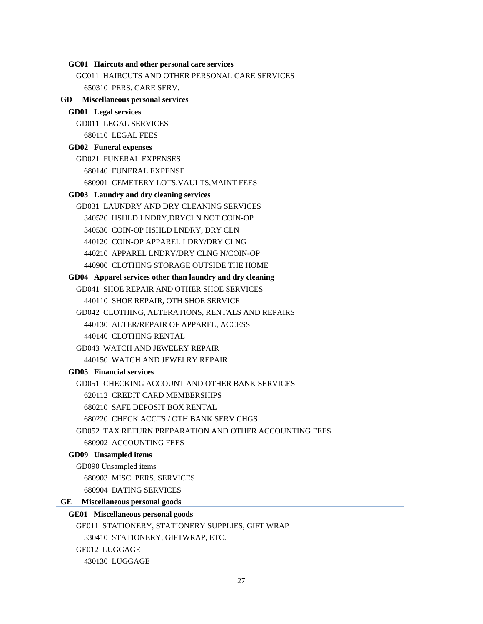#### **GC01 Haircuts and other personal care services**

GC011 HAIRCUTS AND OTHER PERSONAL CARE SERVICES 650310 PERS. CARE SERV.

#### **GD Miscellaneous personal services**

# **GD01 Legal services**  GD011 LEGAL SERVICES 680110 LEGAL FEES **GD02 Funeral expenses**  GD021 FUNERAL EXPENSES 680140 FUNERAL EXPENSE 680901 CEMETERY LOTS,VAULTS,MAINT FEES **GD03 Laundry and dry cleaning services**  GD031 LAUNDRY AND DRY CLEANING SERVICES 340520 HSHLD LNDRY,DRYCLN NOT COIN-OP 340530 COIN-OP HSHLD LNDRY, DRY CLN 440120 COIN-OP APPAREL LDRY/DRY CLNG 440210 APPAREL LNDRY/DRY CLNG N/COIN-OP 440900 CLOTHING STORAGE OUTSIDE THE HOME **GD04 Apparel services other than laundry and dry cleaning**  GD041 SHOE REPAIR AND OTHER SHOE SERVICES 440110 SHOE REPAIR, OTH SHOE SERVICE GD042 CLOTHING, ALTERATIONS, RENTALS AND REPAIRS 440130 ALTER/REPAIR OF APPAREL, ACCESS 440140 CLOTHING RENTAL

GD043 WATCH AND JEWELRY REPAIR 440150 WATCH AND JEWELRY REPAIR

# **GD05 Financial services**

GD051 CHECKING ACCOUNT AND OTHER BANK SERVICES

620112 CREDIT CARD MEMBERSHIPS

- 680210 SAFE DEPOSIT BOX RENTAL
- 680220 CHECK ACCTS / OTH BANK SERV CHGS
- GD052 TAX RETURN PREPARATION AND OTHER ACCOUNTING FEES 680902 ACCOUNTING FEES

#### **GD09 Unsampled items**

GD090 Unsampled items

680903 MISC. PERS. SERVICES

680904 DATING SERVICES

#### **GE Miscellaneous personal goods**

#### **GE01 Miscellaneous personal goods**

GE011 STATIONERY, STATIONERY SUPPLIES, GIFT WRAP 330410 STATIONERY, GIFTWRAP, ETC. GE012 LUGGAGE 430130 LUGGAGE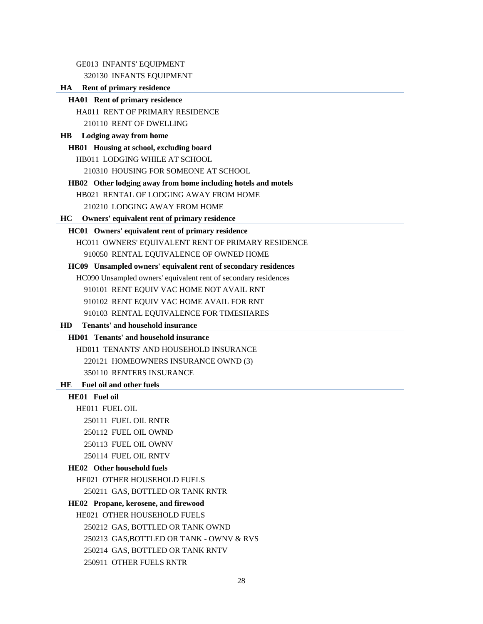GE013 INFANTS' EQUIPMENT

320130 INFANTS EQUIPMENT

## **HA Rent of primary residence**

**HA01 Rent of primary residence** 

HA011 RENT OF PRIMARY RESIDENCE

210110 RENT OF DWELLING

#### **HB Lodging away from home**

**HB01 Housing at school, excluding board** 

HB011 LODGING WHILE AT SCHOOL

210310 HOUSING FOR SOMEONE AT SCHOOL

#### **HB02 Other lodging away from home including hotels and motels**

HB021 RENTAL OF LODGING AWAY FROM HOME

210210 LODGING AWAY FROM HOME

#### **HC Owners' equivalent rent of primary residence**

#### **HC01 Owners' equivalent rent of primary residence**

HC011 OWNERS' EQUIVALENT RENT OF PRIMARY RESIDENCE

910050 RENTAL EQUIVALENCE OF OWNED HOME

#### **HC09 Unsampled owners' equivalent rent of secondary residences**

HC090 Unsampled owners' equivalent rent of secondary residences

910101 RENT EQUIV VAC HOME NOT AVAIL RNT

910102 RENT EQUIV VAC HOME AVAIL FOR RNT

910103 RENTAL EQUIVALENCE FOR TIMESHARES

#### **HD Tenants' and household insurance**

# **HD01 Tenants' and household insurance**

HD011 TENANTS' AND HOUSEHOLD INSURANCE 220121 HOMEOWNERS INSURANCE OWND (3) 350110 RENTERS INSURANCE

# **HE Fuel oil and other fuels**

# **HE01 Fuel oil**

HE011 FUEL OIL

250111 FUEL OIL RNTR

250112 FUEL OIL OWND

- 250113 FUEL OIL OWNV
- 250114 FUEL OIL RNTV

# **HE02 Other household fuels**

HE021 OTHER HOUSEHOLD FUELS

250211 GAS, BOTTLED OR TANK RNTR

#### **HE02 Propane, kerosene, and firewood**

HE021 OTHER HOUSEHOLD FUELS

250212 GAS, BOTTLED OR TANK OWND

250213 GAS,BOTTLED OR TANK - OWNV & RVS

- 250214 GAS, BOTTLED OR TANK RNTV
- 250911 OTHER FUELS RNTR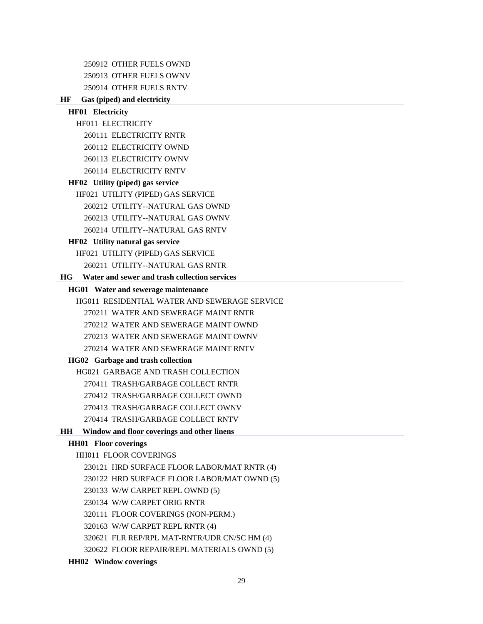250912 OTHER FUELS OWND 250913 OTHER FUELS OWNV 250914 OTHER FUELS RNTV

# **HF Gas (piped) and electricity**

| <b>HF01</b> Electricity                             |
|-----------------------------------------------------|
| <b>HF011 ELECTRICITY</b>                            |
| 260111 ELECTRICITY RNTR                             |
| 260112 ELECTRICITY OWND                             |
| 260113 ELECTRICITY OWNV                             |
| 260114 ELECTRICITY RNTV                             |
| HF02 Utility (piped) gas service                    |
| HF021 UTILITY (PIPED) GAS SERVICE                   |
| 260212 UTILITY--NATURAL GAS OWND                    |
| 260213 UTILITY--NATURAL GAS OWNV                    |
| 260214 UTILITY--NATURAL GAS RNTV                    |
| HF02 Utility natural gas service                    |
| HF021 UTILITY (PIPED) GAS SERVICE                   |
| 260211 UTILITY--NATURAL GAS RNTR                    |
| Water and sewer and trash collection services<br>НG |
| HG01 Water and sewerage maintenance                 |
| <b>HG011 RESIDENTIAL WATER AND SEWERAGE SERVICE</b> |
| 270211 WATER AND SEWERAGE MAINT RNTR                |
| 270212 WATER AND SEWERAGE MAINT OWND                |
| 270213 WATER AND SEWERAGE MAINT OWNV                |
| 270214 WATER AND SEWERAGE MAINT RNTV                |
| HG02 Garbage and trash collection                   |
| <b>HG021 GARBAGE AND TRASH COLLECTION</b>           |
| 270411 TRASH/GARBAGE COLLECT RNTR                   |
| 270412 TRASH/GARBAGE COLLECT OWND                   |
| 270413 TRASH/GARBAGE COLLECT OWNV                   |
| 270414 TRASH/GARBAGE COLLECT RNTV                   |
| Window and floor coverings and other linens<br>HH   |
| <b>HH01</b> Floor coverings                         |
| HH011 FLOOR COVERINGS                               |
| 230121 HRD SURFACE FLOOR LABOR/MAT RNTR (4)         |
| 230122 HRD SURFACE FLOOR LABOR/MAT OWND (5)         |
| 230133 W/W CARPET REPL OWND (5)                     |
| 230134 W/W CARPET ORIG RNTR                         |
| 320111 FLOOR COVERINGS (NON-PERM.)                  |
| 320163 W/W CARPET REPL RNTR (4)                     |
| 320621 FLR REP/RPL MAT-RNTR/UDR CN/SC HM (4)        |
| 320622 FLOOR REPAIR/REPL MATERIALS OWND (5)         |

# **HH02 Window coverings**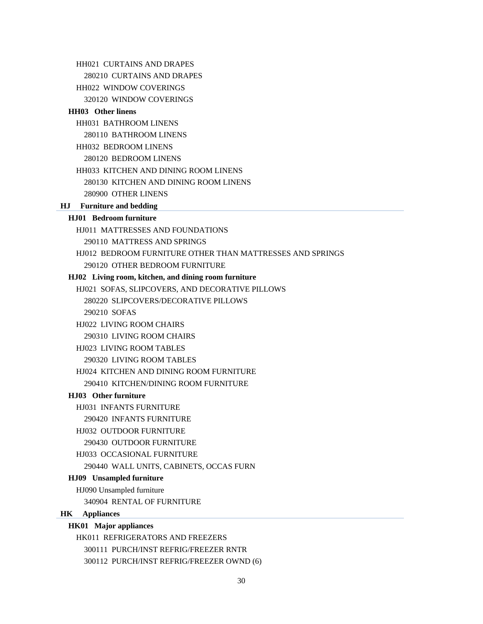HH021 CURTAINS AND DRAPES 280210 CURTAINS AND DRAPES HH022 WINDOW COVERINGS 320120 WINDOW COVERINGS **HH03 Other linens**  HH031 BATHROOM LINENS 280110 BATHROOM LINENS HH032 BEDROOM LINENS 280120 BEDROOM LINENS HH033 KITCHEN AND DINING ROOM LINENS 280130 KITCHEN AND DINING ROOM LINENS 280900 OTHER LINENS **HJ Furniture and bedding HJ01 Bedroom furniture**  HJ011 MATTRESSES AND FOUNDATIONS 290110 MATTRESS AND SPRINGS HJ012 BEDROOM FURNITURE OTHER THAN MATTRESSES AND SPRINGS 290120 OTHER BEDROOM FURNITURE **HJ02 Living room, kitchen, and dining room furniture**  HJ021 SOFAS, SLIPCOVERS, AND DECORATIVE PILLOWS 280220 SLIPCOVERS/DECORATIVE PILLOWS 290210 SOFAS HJ022 LIVING ROOM CHAIRS 290310 LIVING ROOM CHAIRS HJ023 LIVING ROOM TABLES 290320 LIVING ROOM TABLES HJ024 KITCHEN AND DINING ROOM FURNITURE 290410 KITCHEN/DINING ROOM FURNITURE **HJ03 Other furniture**  HJ031 INFANTS FURNITURE 290420 INFANTS FURNITURE HJ032 OUTDOOR FURNITURE 290430 OUTDOOR FURNITURE HJ033 OCCASIONAL FURNITURE 290440 WALL UNITS, CABINETS, OCCAS FURN **HJ09 Unsampled furniture**  HJ090 Unsampled furniture 340904 RENTAL OF FURNITURE **HK Appliances HK01 Major appliances**  HK011 REFRIGERATORS AND FREEZERS 300111 PURCH/INST REFRIG/FREEZER RNTR

300112 PURCH/INST REFRIG/FREEZER OWND (6)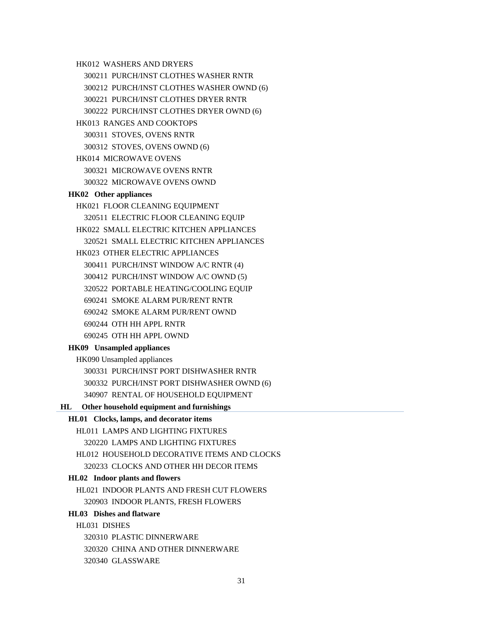HK012 WASHERS AND DRYERS 300211 PURCH/INST CLOTHES WASHER RNTR 300212 PURCH/INST CLOTHES WASHER OWND (6) 300221 PURCH/INST CLOTHES DRYER RNTR 300222 PURCH/INST CLOTHES DRYER OWND (6) HK013 RANGES AND COOKTOPS 300311 STOVES, OVENS RNTR 300312 STOVES, OVENS OWND (6) HK014 MICROWAVE OVENS 300321 MICROWAVE OVENS RNTR 300322 MICROWAVE OVENS OWND **HK02 Other appliances**  HK021 FLOOR CLEANING EQUIPMENT 320511 ELECTRIC FLOOR CLEANING EQUIP HK022 SMALL ELECTRIC KITCHEN APPLIANCES 320521 SMALL ELECTRIC KITCHEN APPLIANCES HK023 OTHER ELECTRIC APPLIANCES 300411 PURCH/INST WINDOW A/C RNTR (4) 300412 PURCH/INST WINDOW A/C OWND (5) 320522 PORTABLE HEATING/COOLING EQUIP 690241 SMOKE ALARM PUR/RENT RNTR 690242 SMOKE ALARM PUR/RENT OWND 690244 OTH HH APPL RNTR 690245 OTH HH APPL OWND **HK09 Unsampled appliances**  HK090 Unsampled appliances 300331 PURCH/INST PORT DISHWASHER RNTR 300332 PURCH/INST PORT DISHWASHER OWND (6) 340907 RENTAL OF HOUSEHOLD EQUIPMENT **HL Other household equipment and furnishings HL01 Clocks, lamps, and decorator items**  HL011 LAMPS AND LIGHTING FIXTURES 320220 LAMPS AND LIGHTING FIXTURES HL012 HOUSEHOLD DECORATIVE ITEMS AND CLOCKS 320233 CLOCKS AND OTHER HH DECOR ITEMS **HL02 Indoor plants and flowers**  HL021 INDOOR PLANTS AND FRESH CUT FLOWERS 320903 INDOOR PLANTS, FRESH FLOWERS **HL03 Dishes and flatware**  HL031 DISHES 320310 PLASTIC DINNERWARE

320320 CHINA AND OTHER DINNERWARE

320340 GLASSWARE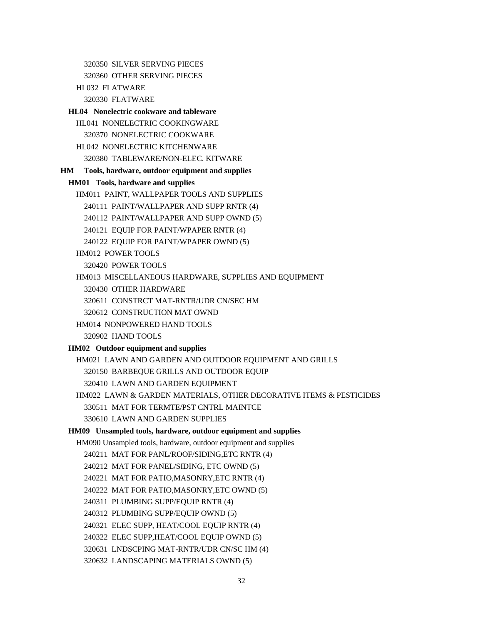320350 SILVER SERVING PIECES 320360 OTHER SERVING PIECES HL032 FLATWARE 320330 FLATWARE **HL04 Nonelectric cookware and tableware**  HL041 NONELECTRIC COOKINGWARE 320370 NONELECTRIC COOKWARE HL042 NONELECTRIC KITCHENWARE 320380 TABLEWARE/NON-ELEC. KITWARE **HM Tools, hardware, outdoor equipment and supplies HM01 Tools, hardware and supplies**  HM011 PAINT, WALLPAPER TOOLS AND SUPPLIES 240111 PAINT/WALLPAPER AND SUPP RNTR (4) 240112 PAINT/WALLPAPER AND SUPP OWND (5) 240121 EQUIP FOR PAINT/WPAPER RNTR (4) 240122 EQUIP FOR PAINT/WPAPER OWND (5) HM012 POWER TOOLS 320420 POWER TOOLS HM013 MISCELLANEOUS HARDWARE, SUPPLIES AND EQUIPMENT 320430 OTHER HARDWARE 320611 CONSTRCT MAT-RNTR/UDR CN/SEC HM 320612 CONSTRUCTION MAT OWND HM014 NONPOWERED HAND TOOLS 320902 HAND TOOLS **HM02 Outdoor equipment and supplies**  HM021 LAWN AND GARDEN AND OUTDOOR EQUIPMENT AND GRILLS 320150 BARBEQUE GRILLS AND OUTDOOR EQUIP 320410 LAWN AND GARDEN EQUIPMENT HM022 LAWN & GARDEN MATERIALS, OTHER DECORATIVE ITEMS & PESTICIDES 330511 MAT FOR TERMTE/PST CNTRL MAINTCE 330610 LAWN AND GARDEN SUPPLIES **HM09 Unsampled tools, hardware, outdoor equipment and supplies**  HM090 Unsampled tools, hardware, outdoor equipment and supplies 240211 MAT FOR PANL/ROOF/SIDING,ETC RNTR (4) 240212 MAT FOR PANEL/SIDING, ETC OWND (5) 240221 MAT FOR PATIO,MASONRY,ETC RNTR (4) 240222 MAT FOR PATIO,MASONRY,ETC OWND (5) 240311 PLUMBING SUPP/EQUIP RNTR (4) 240312 PLUMBING SUPP/EQUIP OWND (5) 240321 ELEC SUPP, HEAT/COOL EQUIP RNTR (4) 240322 ELEC SUPP,HEAT/COOL EQUIP OWND (5) 320631 LNDSCPING MAT-RNTR/UDR CN/SC HM (4)

320632 LANDSCAPING MATERIALS OWND (5)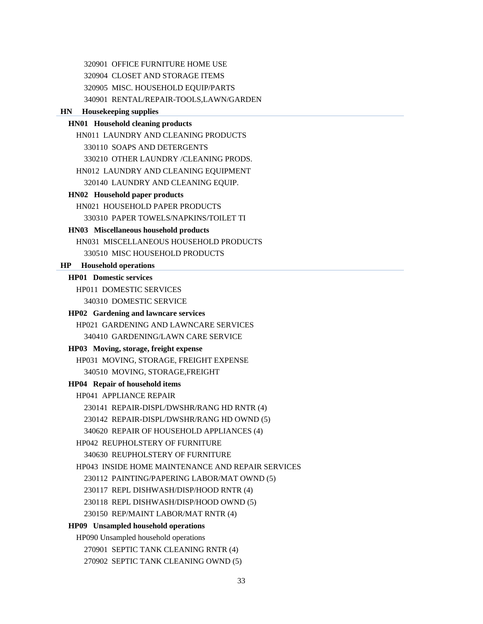320901 OFFICE FURNITURE HOME USE 320904 CLOSET AND STORAGE ITEMS

320905 MISC. HOUSEHOLD EQUIP/PARTS

340901 RENTAL/REPAIR-TOOLS,LAWN/GARDEN

## **HN Housekeeping supplies**

## **HN01 Household cleaning products**

HN011 LAUNDRY AND CLEANING PRODUCTS 330110 SOAPS AND DETERGENTS 330210 OTHER LAUNDRY /CLEANING PRODS. HN012 LAUNDRY AND CLEANING EQUIPMENT 320140 LAUNDRY AND CLEANING EQUIP.

**HN02 Household paper products** 

HN021 HOUSEHOLD PAPER PRODUCTS 330310 PAPER TOWELS/NAPKINS/TOILET TI

#### **HN03 Miscellaneous household products**

HN031 MISCELLANEOUS HOUSEHOLD PRODUCTS 330510 MISC HOUSEHOLD PRODUCTS

# **HP Household operations**

## **HP01 Domestic services**

HP011 DOMESTIC SERVICES 340310 DOMESTIC SERVICE

#### **HP02 Gardening and lawncare services**

HP021 GARDENING AND LAWNCARE SERVICES 340410 GARDENING/LAWN CARE SERVICE

#### **HP03 Moving, storage, freight expense**

HP031 MOVING, STORAGE, FREIGHT EXPENSE 340510 MOVING, STORAGE,FREIGHT

#### **HP04 Repair of household items**

HP041 APPLIANCE REPAIR 230141 REPAIR-DISPL/DWSHR/RANG HD RNTR (4) 230142 REPAIR-DISPL/DWSHR/RANG HD OWND (5) 340620 REPAIR OF HOUSEHOLD APPLIANCES (4) HP042 REUPHOLSTERY OF FURNITURE 340630 REUPHOLSTERY OF FURNITURE HP043 INSIDE HOME MAINTENANCE AND REPAIR SERVICES 230112 PAINTING/PAPERING LABOR/MAT OWND (5) 230117 REPL DISHWASH/DISP/HOOD RNTR (4) 230118 REPL DISHWASH/DISP/HOOD OWND (5) 230150 REP/MAINT LABOR/MAT RNTR (4) **HP09 Unsampled household operations**  HP090 Unsampled household operations 270901 SEPTIC TANK CLEANING RNTR (4) 270902 SEPTIC TANK CLEANING OWND (5)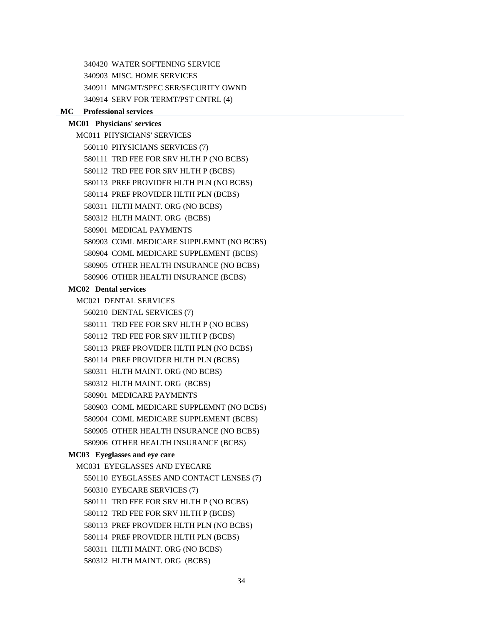340420 WATER SOFTENING SERVICE

340903 MISC. HOME SERVICES

340911 MNGMT/SPEC SER/SECURITY OWND

340914 SERV FOR TERMT/PST CNTRL (4)

#### **MC Professional services**

## **MC01 Physicians' services**

MC011 PHYSICIANS' SERVICES 560110 PHYSICIANS SERVICES (7) 580111 TRD FEE FOR SRV HLTH P (NO BCBS) 580112 TRD FEE FOR SRV HLTH P (BCBS) 580113 PREF PROVIDER HLTH PLN (NO BCBS) 580114 PREF PROVIDER HLTH PLN (BCBS) 580311 HLTH MAINT. ORG (NO BCBS) 580312 HLTH MAINT. ORG (BCBS) 580901 MEDICAL PAYMENTS 580903 COML MEDICARE SUPPLEMNT (NO BCBS) 580904 COML MEDICARE SUPPLEMENT (BCBS) 580905 OTHER HEALTH INSURANCE (NO BCBS)

580906 OTHER HEALTH INSURANCE (BCBS)

#### **MC02 Dental services**

MC021 DENTAL SERVICES

560210 DENTAL SERVICES (7)

580111 TRD FEE FOR SRV HLTH P (NO BCBS)

```
580112 TRD FEE FOR SRV HLTH P (BCBS)
```
580113 PREF PROVIDER HLTH PLN (NO BCBS)

- 580114 PREF PROVIDER HLTH PLN (BCBS)
- 580311 HLTH MAINT. ORG (NO BCBS)
- 580312 HLTH MAINT. ORG (BCBS)

580901 MEDICARE PAYMENTS

580903 COML MEDICARE SUPPLEMNT (NO BCBS)

580904 COML MEDICARE SUPPLEMENT (BCBS)

- 580905 OTHER HEALTH INSURANCE (NO BCBS)
- 580906 OTHER HEALTH INSURANCE (BCBS)

#### **MC03 Eyeglasses and eye care**

MC031 EYEGLASSES AND EYECARE 550110 EYEGLASSES AND CONTACT LENSES (7) 560310 EYECARE SERVICES (7) 580111 TRD FEE FOR SRV HLTH P (NO BCBS) 580112 TRD FEE FOR SRV HLTH P (BCBS) 580113 PREF PROVIDER HLTH PLN (NO BCBS) 580114 PREF PROVIDER HLTH PLN (BCBS) 580311 HLTH MAINT. ORG (NO BCBS) 580312 HLTH MAINT. ORG (BCBS)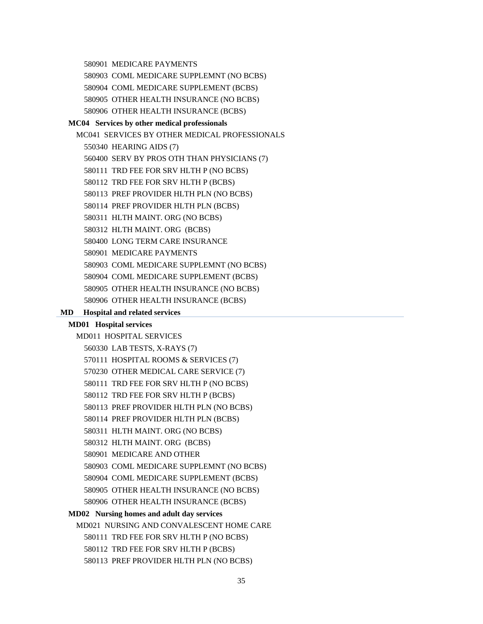580901 MEDICARE PAYMENTS

580903 COML MEDICARE SUPPLEMNT (NO BCBS)

580904 COML MEDICARE SUPPLEMENT (BCBS)

580905 OTHER HEALTH INSURANCE (NO BCBS)

580906 OTHER HEALTH INSURANCE (BCBS)

#### **MC04 Services by other medical professionals**

MC041 SERVICES BY OTHER MEDICAL PROFESSIONALS 550340 HEARING AIDS (7) 560400 SERV BY PROS OTH THAN PHYSICIANS (7) 580111 TRD FEE FOR SRV HLTH P (NO BCBS) 580112 TRD FEE FOR SRV HLTH P (BCBS) 580113 PREF PROVIDER HLTH PLN (NO BCBS) 580114 PREF PROVIDER HLTH PLN (BCBS) 580311 HLTH MAINT. ORG (NO BCBS) 580312 HLTH MAINT. ORG (BCBS) 580400 LONG TERM CARE INSURANCE 580901 MEDICARE PAYMENTS 580903 COML MEDICARE SUPPLEMNT (NO BCBS) 580904 COML MEDICARE SUPPLEMENT (BCBS) 580905 OTHER HEALTH INSURANCE (NO BCBS) 580906 OTHER HEALTH INSURANCE (BCBS)

## **MD Hospital and related services**

## **MD01 Hospital services**

MD011 HOSPITAL SERVICES

- 560330 LAB TESTS, X-RAYS (7)
- 570111 HOSPITAL ROOMS & SERVICES (7)
- 570230 OTHER MEDICAL CARE SERVICE (7)
- 580111 TRD FEE FOR SRV HLTH P (NO BCBS)
- 580112 TRD FEE FOR SRV HLTH P (BCBS)

580113 PREF PROVIDER HLTH PLN (NO BCBS)

580114 PREF PROVIDER HLTH PLN (BCBS)

- 580311 HLTH MAINT. ORG (NO BCBS)
- 580312 HLTH MAINT. ORG (BCBS)
- 580901 MEDICARE AND OTHER
- 580903 COML MEDICARE SUPPLEMNT (NO BCBS)
- 580904 COML MEDICARE SUPPLEMENT (BCBS)
- 580905 OTHER HEALTH INSURANCE (NO BCBS)
- 580906 OTHER HEALTH INSURANCE (BCBS)

### **MD02 Nursing homes and adult day services**

MD021 NURSING AND CONVALESCENT HOME CARE

- 580111 TRD FEE FOR SRV HLTH P (NO BCBS)
- 580112 TRD FEE FOR SRV HLTH P (BCBS)
- 580113 PREF PROVIDER HLTH PLN (NO BCBS)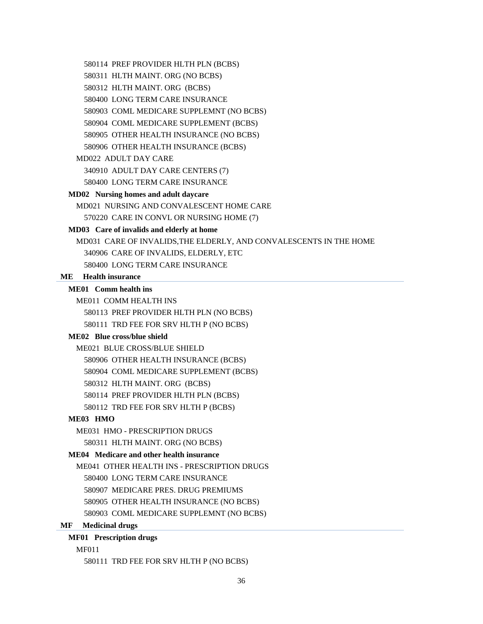580311 HLTH MAINT. ORG (NO BCBS)

580312 HLTH MAINT. ORG (BCBS)

580400 LONG TERM CARE INSURANCE

580903 COML MEDICARE SUPPLEMNT (NO BCBS)

580904 COML MEDICARE SUPPLEMENT (BCBS)

580905 OTHER HEALTH INSURANCE (NO BCBS)

580906 OTHER HEALTH INSURANCE (BCBS)

#### MD022 ADULT DAY CARE

340910 ADULT DAY CARE CENTERS (7)

580400 LONG TERM CARE INSURANCE

# **MD02 Nursing homes and adult daycare**

MD021 NURSING AND CONVALESCENT HOME CARE 570220 CARE IN CONVL OR NURSING HOME (7)

# **MD03 Care of invalids and elderly at home**

MD031 CARE OF INVALIDS,THE ELDERLY, AND CONVALESCENTS IN THE HOME 340906 CARE OF INVALIDS, ELDERLY, ETC 580400 LONG TERM CARE INSURANCE

#### **ME Health insurance**

#### **ME01 Comm health ins**

ME011 COMM HEALTH INS

580113 PREF PROVIDER HLTH PLN (NO BCBS)

580111 TRD FEE FOR SRV HLTH P (NO BCBS)

#### **ME02 Blue cross/blue shield**

ME021 BLUE CROSS/BLUE SHIELD

580906 OTHER HEALTH INSURANCE (BCBS)

580904 COML MEDICARE SUPPLEMENT (BCBS)

580312 HLTH MAINT. ORG (BCBS)

580114 PREF PROVIDER HLTH PLN (BCBS)

580112 TRD FEE FOR SRV HLTH P (BCBS)

## **ME03 HMO**

ME031 HMO - PRESCRIPTION DRUGS 580311 HLTH MAINT. ORG (NO BCBS)

#### **ME04 Medicare and other health insurance**

ME041 OTHER HEALTH INS - PRESCRIPTION DRUGS 580400 LONG TERM CARE INSURANCE 580907 MEDICARE PRES. DRUG PREMIUMS 580905 OTHER HEALTH INSURANCE (NO BCBS) 580903 COML MEDICARE SUPPLEMNT (NO BCBS)

#### **MF Medicinal drugs**

# **MF01 Prescription drugs**

MF011

580111 TRD FEE FOR SRV HLTH P (NO BCBS)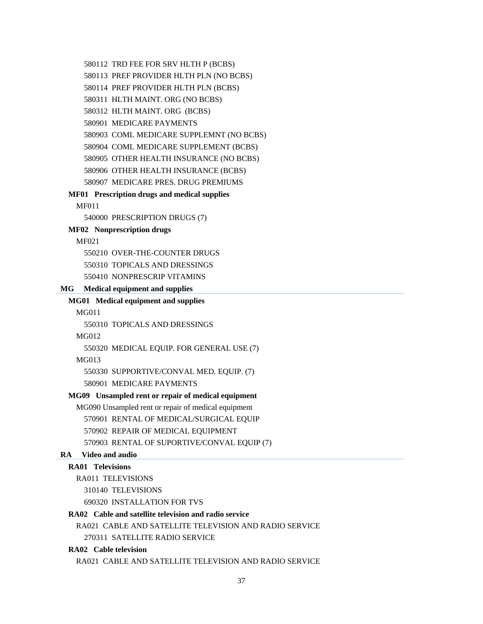580112 TRD FEE FOR SRV HLTH P (BCBS) 580113 PREF PROVIDER HLTH PLN (NO BCBS) 580114 PREF PROVIDER HLTH PLN (BCBS) 580311 HLTH MAINT. ORG (NO BCBS) 580312 HLTH MAINT. ORG (BCBS) 580901 MEDICARE PAYMENTS 580903 COML MEDICARE SUPPLEMNT (NO BCBS) 580904 COML MEDICARE SUPPLEMENT (BCBS) 580905 OTHER HEALTH INSURANCE (NO BCBS) 580906 OTHER HEALTH INSURANCE (BCBS) 580907 MEDICARE PRES. DRUG PREMIUMS **MF01 Prescription drugs and medical supplies**  MF011 540000 PRESCRIPTION DRUGS (7) **MF02 Nonprescription drugs**  MF021 550210 OVER-THE-COUNTER DRUGS 550310 TOPICALS AND DRESSINGS 550410 NONPRESCRIP VITAMINS **MG Medical equipment and supplies MG01 Medical equipment and supplies**  MG011 550310 TOPICALS AND DRESSINGS MG012 550320 MEDICAL EQUIP. FOR GENERAL USE (7) MG013 550330 SUPPORTIVE/CONVAL MED. EQUIP. (7) 580901 MEDICARE PAYMENTS **MG09 Unsampled rent or repair of medical equipment**  MG090 Unsampled rent or repair of medical equipment 570901 RENTAL OF MEDICAL/SURGICAL EQUIP 570902 REPAIR OF MEDICAL EQUIPMENT 570903 RENTAL OF SUPORTIVE/CONVAL EQUIP (7) **RA Video and audio RA01 Televisions**  RA011 TELEVISIONS 310140 TELEVISIONS 690320 INSTALLATION FOR TVS **RA02 Cable and satellite television and radio service**  RA021 CABLE AND SATELLITE TELEVISION AND RADIO SERVICE 270311 SATELLITE RADIO SERVICE **RA02 Cable television** 

RA021 CABLE AND SATELLITE TELEVISION AND RADIO SERVICE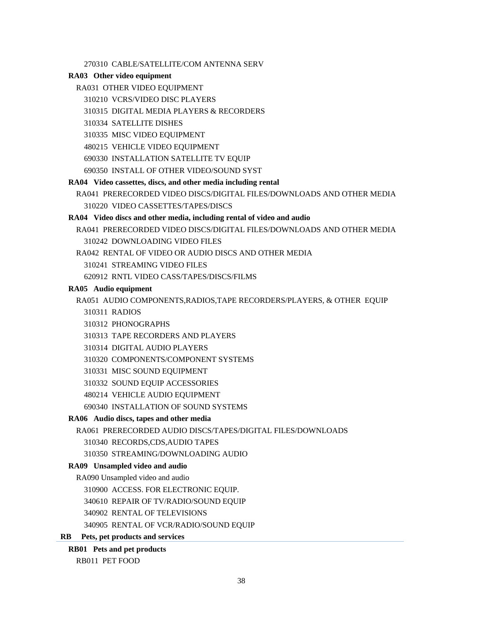270310 CABLE/SATELLITE/COM ANTENNA SERV

#### **RA03 Other video equipment**

- RA031 OTHER VIDEO EQUIPMENT
	- 310210 VCRS/VIDEO DISC PLAYERS
	- 310315 DIGITAL MEDIA PLAYERS & RECORDERS
	- 310334 SATELLITE DISHES
	- 310335 MISC VIDEO EQUIPMENT
	- 480215 VEHICLE VIDEO EQUIPMENT
	- 690330 INSTALLATION SATELLITE TV EQUIP
	- 690350 INSTALL OF OTHER VIDEO/SOUND SYST

#### **RA04 Video cassettes, discs, and other media including rental**

RA041 PRERECORDED VIDEO DISCS/DIGITAL FILES/DOWNLOADS AND OTHER MEDIA 310220 VIDEO CASSETTES/TAPES/DISCS

#### **RA04 Video discs and other media, including rental of video and audio**

- RA041 PRERECORDED VIDEO DISCS/DIGITAL FILES/DOWNLOADS AND OTHER MEDIA 310242 DOWNLOADING VIDEO FILES
- RA042 RENTAL OF VIDEO OR AUDIO DISCS AND OTHER MEDIA
	- 310241 STREAMING VIDEO FILES
	- 620912 RNTL VIDEO CASS/TAPES/DISCS/FILMS

#### **RA05 Audio equipment**

RA051 AUDIO COMPONENTS,RADIOS,TAPE RECORDERS/PLAYERS, & OTHER EQUIP

- 310311 RADIOS
- 310312 PHONOGRAPHS
- 310313 TAPE RECORDERS AND PLAYERS
- 310314 DIGITAL AUDIO PLAYERS
- 310320 COMPONENTS/COMPONENT SYSTEMS
- 310331 MISC SOUND EQUIPMENT
- 310332 SOUND EQUIP ACCESSORIES
- 480214 VEHICLE AUDIO EQUIPMENT
- 690340 INSTALLATION OF SOUND SYSTEMS

#### **RA06 Audio discs, tapes and other media**

RA061 PRERECORDED AUDIO DISCS/TAPES/DIGITAL FILES/DOWNLOADS

- 310340 RECORDS,CDS,AUDIO TAPES
- 310350 STREAMING/DOWNLOADING AUDIO

#### **RA09 Unsampled video and audio**

- RA090 Unsampled video and audio
	- 310900 ACCESS. FOR ELECTRONIC EQUIP.
	- 340610 REPAIR OF TV/RADIO/SOUND EQUIP
	- 340902 RENTAL OF TELEVISIONS
	- 340905 RENTAL OF VCR/RADIO/SOUND EQUIP

# **RB Pets, pet products and services**

#### **RB01 Pets and pet products**

RB011 PET FOOD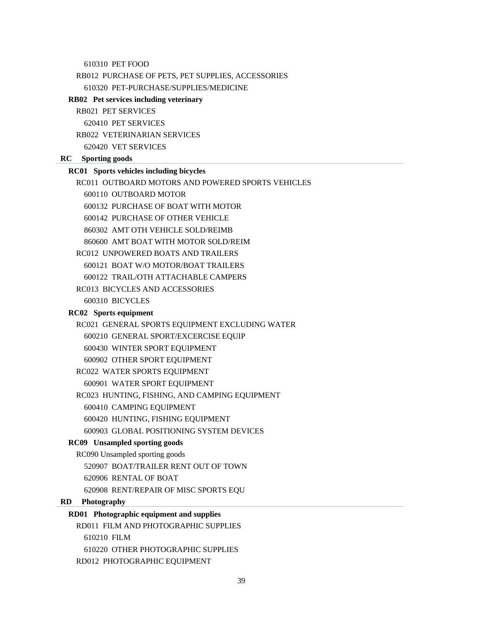610310 PET FOOD

RB012 PURCHASE OF PETS, PET SUPPLIES, ACCESSORIES 610320 PET-PURCHASE/SUPPLIES/MEDICINE

**RB02 Pet services including veterinary** 

```
RB021 PET SERVICES
```
620410 PET SERVICES

RB022 VETERINARIAN SERVICES

620420 VET SERVICES

#### **RC Sporting goods**

#### **RC01 Sports vehicles including bicycles**

RC011 OUTBOARD MOTORS AND POWERED SPORTS VEHICLES

600110 OUTBOARD MOTOR

600132 PURCHASE OF BOAT WITH MOTOR

600142 PURCHASE OF OTHER VEHICLE

860302 AMT OTH VEHICLE SOLD/REIMB

860600 AMT BOAT WITH MOTOR SOLD/REIM

RC012 UNPOWERED BOATS AND TRAILERS

600121 BOAT W/O MOTOR/BOAT TRAILERS

600122 TRAIL/OTH ATTACHABLE CAMPERS

RC013 BICYCLES AND ACCESSORIES

600310 BICYCLES

# **RC02 Sports equipment**

RC021 GENERAL SPORTS EQUIPMENT EXCLUDING WATER

- 600210 GENERAL SPORT/EXCERCISE EQUIP
- 600430 WINTER SPORT EQUIPMENT
- 600902 OTHER SPORT EQUIPMENT
- RC022 WATER SPORTS EQUIPMENT

600901 WATER SPORT EQUIPMENT

RC023 HUNTING, FISHING, AND CAMPING EQUIPMENT

600410 CAMPING EQUIPMENT

600420 HUNTING, FISHING EQUIPMENT

600903 GLOBAL POSITIONING SYSTEM DEVICES

#### **RC09 Unsampled sporting goods**

RC090 Unsampled sporting goods

520907 BOAT/TRAILER RENT OUT OF TOWN

620906 RENTAL OF BOAT

620908 RENT/REPAIR OF MISC SPORTS EQU

## **RD Photography**

### **RD01 Photographic equipment and supplies**

RD011 FILM AND PHOTOGRAPHIC SUPPLIES 610210 FILM 610220 OTHER PHOTOGRAPHIC SUPPLIES RD012 PHOTOGRAPHIC EQUIPMENT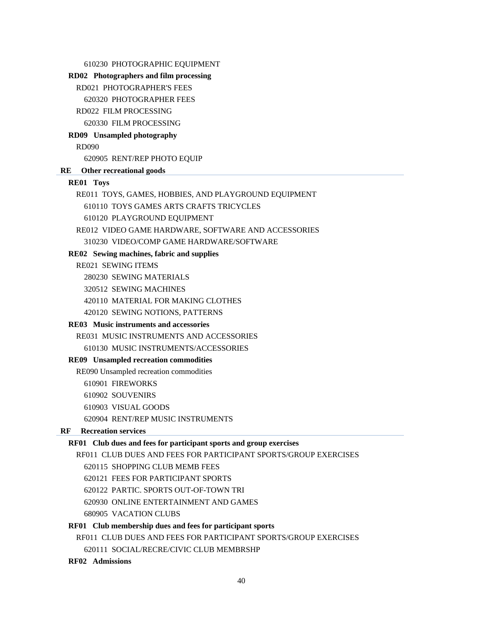| 610230 PHOTOGRAPHIC EQUIPMENT                                      |
|--------------------------------------------------------------------|
| RD02 Photographers and film processing                             |
| RD021 PHOTOGRAPHER'S FEES                                          |
| 620320 PHOTOGRAPHER FEES                                           |
| RD022 FILM PROCESSING                                              |
| 620330 FILM PROCESSING                                             |
| RD09 Unsampled photography                                         |
| <b>RD090</b>                                                       |
| 620905 RENT/REP PHOTO EQUIP                                        |
| Other recreational goods<br>RE                                     |
| <b>RE01 Toys</b>                                                   |
| RE011 TOYS, GAMES, HOBBIES, AND PLAYGROUND EQUIPMENT               |
| 610110 TOYS GAMES ARTS CRAFTS TRICYCLES                            |
| 610120 PLAYGROUND EQUIPMENT                                        |
| RE012 VIDEO GAME HARDWARE, SOFTWARE AND ACCESSORIES                |
| 310230 VIDEO/COMP GAME HARDWARE/SOFTWARE                           |
| RE02 Sewing machines, fabric and supplies                          |
| <b>RE021 SEWING ITEMS</b>                                          |
| 280230 SEWING MATERIALS                                            |
| 320512 SEWING MACHINES                                             |
| 420110 MATERIAL FOR MAKING CLOTHES                                 |
| 420120 SEWING NOTIONS, PATTERNS                                    |
| RE03 Music instruments and accessories                             |
| <b>RE031 MUSIC INSTRUMENTS AND ACCESSORIES</b>                     |
| 610130 MUSIC INSTRUMENTS/ACCESSORIES                               |
| RE09 Unsampled recreation commodities                              |
| RE090 Unsampled recreation commodities                             |
| 610901 FIREWORKS                                                   |
| 610902 SOUVENIRS                                                   |
| 610903 VISUAL GOODS                                                |
| 620904 RENT/REP MUSIC INSTRUMENTS                                  |
| <b>Recreation services</b><br>RF                                   |
| RF01 Club dues and fees for participant sports and group exercises |
| RF011 CLUB DUES AND FEES FOR PARTICIPANT SPORTS/GROUP EXERCISES    |
| 620115 SHOPPING CLUB MEMB FEES                                     |
| 620121 FEES FOR PARTICIPANT SPORTS                                 |
| 620122 PARTIC. SPORTS OUT-OF-TOWN TRI                              |
| 620930 ONLINE ENTERTAINMENT AND GAMES                              |
| <b>680905 VACATION CLUBS</b>                                       |
| RF01 Club membership dues and fees for participant sports          |
| RF011 CLUB DUES AND FEES FOR PARTICIPANT SPORTS/GROUP EXERCISES    |
| 620111 SOCIAL/RECRE/CIVIC CLUB MEMBRSHP                            |

**RF02 Admissions**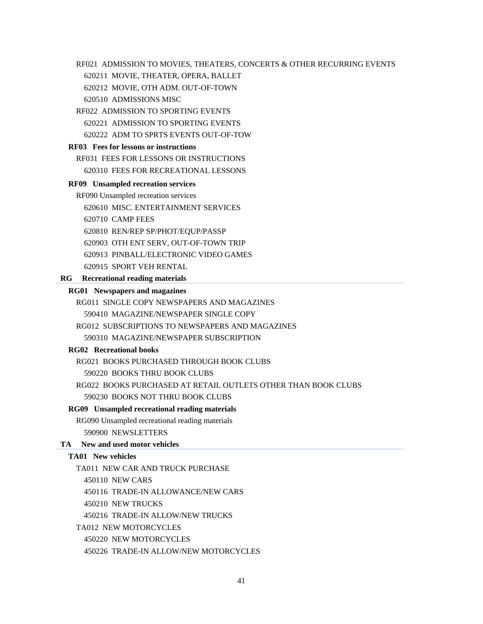RF021 ADMISSION TO MOVIES, THEATERS, CONCERTS & OTHER RECURRING EVENTS

620211 MOVIE, THEATER, OPERA, BALLET

620212 MOVIE, OTH ADM. OUT-OF-TOWN

620510 ADMISSIONS MISC

RF022 ADMISSION TO SPORTING EVENTS 620221 ADMISSION TO SPORTING EVENTS 620222 ADM TO SPRTS EVENTS OUT-OF-TOW

#### **RF03 Fees for lessons or instructions**

RF031 FEES FOR LESSONS OR INSTRUCTIONS 620310 FEES FOR RECREATIONAL LESSONS

#### **RF09 Unsampled recreation services**

RF090 Unsampled recreation services

620610 MISC. ENTERTAINMENT SERVICES

620710 CAMP FEES

620810 REN/REP SP/PHOT/EQUP/PASSP

620903 OTH ENT SERV, OUT-OF-TOWN TRIP

620913 PINBALL/ELECTRONIC VIDEO GAMES

620915 SPORT VEH RENTAL

#### **RG Recreational reading materials**

#### **RG01 Newspapers and magazines**

RG011 SINGLE COPY NEWSPAPERS AND MAGAZINES

590410 MAGAZINE/NEWSPAPER SINGLE COPY

RG012 SUBSCRIPTIONS TO NEWSPAPERS AND MAGAZINES

590310 MAGAZINE/NEWSPAPER SUBSCRIPTION

# **RG02 Recreational books**

RG021 BOOKS PURCHASED THROUGH BOOK CLUBS

590220 BOOKS THRU BOOK CLUBS

RG022 BOOKS PURCHASED AT RETAIL OUTLETS OTHER THAN BOOK CLUBS

590230 BOOKS NOT THRU BOOK CLUBS

# **RG09 Unsampled recreational reading materials**

RG090 Unsampled recreational reading materials 590900 NEWSLETTERS

# **TA New and used motor vehicles**

# **TA01 New vehicles**

TA011 NEW CAR AND TRUCK PURCHASE

450110 NEW CARS

450116 TRADE-IN ALLOWANCE/NEW CARS

450210 NEW TRUCKS

450216 TRADE-IN ALLOW/NEW TRUCKS

TA012 NEW MOTORCYCLES

450220 NEW MOTORCYCLES

450226 TRADE-IN ALLOW/NEW MOTORCYCLES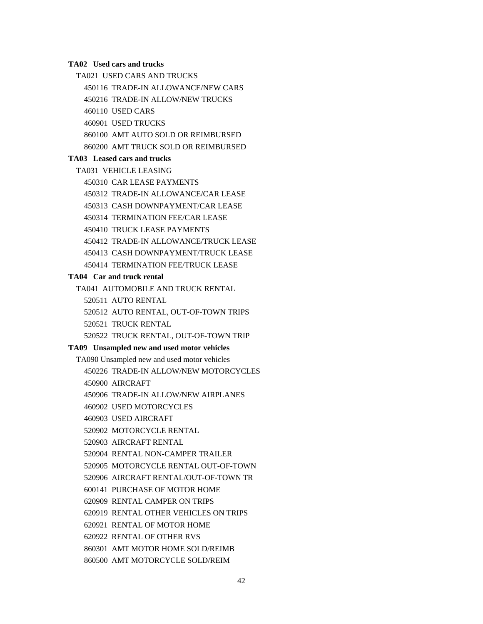#### **TA02 Used cars and trucks**

TA021 USED CARS AND TRUCKS

450116 TRADE-IN ALLOWANCE/NEW CARS

450216 TRADE-IN ALLOW/NEW TRUCKS

460110 USED CARS

460901 USED TRUCKS

860100 AMT AUTO SOLD OR REIMBURSED

860200 AMT TRUCK SOLD OR REIMBURSED

# **TA03 Leased cars and trucks**

TA031 VEHICLE LEASING

450310 CAR LEASE PAYMENTS

450312 TRADE-IN ALLOWANCE/CAR LEASE

450313 CASH DOWNPAYMENT/CAR LEASE

450314 TERMINATION FEE/CAR LEASE

450410 TRUCK LEASE PAYMENTS

450412 TRADE-IN ALLOWANCE/TRUCK LEASE

450413 CASH DOWNPAYMENT/TRUCK LEASE

450414 TERMINATION FEE/TRUCK LEASE

## **TA04 Car and truck rental**

TA041 AUTOMOBILE AND TRUCK RENTAL

520511 AUTO RENTAL

520512 AUTO RENTAL, OUT-OF-TOWN TRIPS

520521 TRUCK RENTAL

520522 TRUCK RENTAL, OUT-OF-TOWN TRIP

#### **TA09 Unsampled new and used motor vehicles**

TA090 Unsampled new and used motor vehicles 450226 TRADE-IN ALLOW/NEW MOTORCYCLES 450900 AIRCRAFT 450906 TRADE-IN ALLOW/NEW AIRPLANES 460902 USED MOTORCYCLES 460903 USED AIRCRAFT 520902 MOTORCYCLE RENTAL 520903 AIRCRAFT RENTAL 520904 RENTAL NON-CAMPER TRAILER 520905 MOTORCYCLE RENTAL OUT-OF-TOWN 520906 AIRCRAFT RENTAL/OUT-OF-TOWN TR 600141 PURCHASE OF MOTOR HOME 620909 RENTAL CAMPER ON TRIPS 620919 RENTAL OTHER VEHICLES ON TRIPS 620921 RENTAL OF MOTOR HOME 620922 RENTAL OF OTHER RVS 860301 AMT MOTOR HOME SOLD/REIMB

860500 AMT MOTORCYCLE SOLD/REIM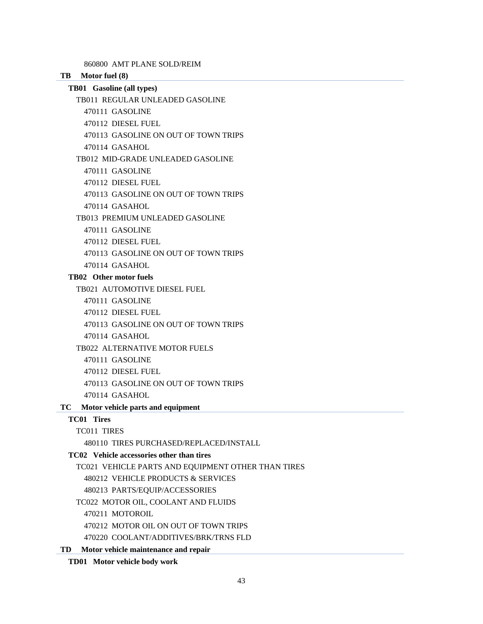860800 AMT PLANE SOLD/REIM

**TB Motor fuel (8)** 

- **TB01 Gasoline (all types)** 
	- TB011 REGULAR UNLEADED GASOLINE
		- 470111 GASOLINE
		- 470112 DIESEL FUEL
		- 470113 GASOLINE ON OUT OF TOWN TRIPS
		- 470114 GASAHOL
	- TB012 MID-GRADE UNLEADED GASOLINE
		- 470111 GASOLINE
		- 470112 DIESEL FUEL
		- 470113 GASOLINE ON OUT OF TOWN TRIPS
		- 470114 GASAHOL
	- TB013 PREMIUM UNLEADED GASOLINE
		- 470111 GASOLINE
		- 470112 DIESEL FUEL
		- 470113 GASOLINE ON OUT OF TOWN TRIPS
		- 470114 GASAHOL

# **TB02 Other motor fuels**

- TB021 AUTOMOTIVE DIESEL FUEL
	- 470111 GASOLINE
	- 470112 DIESEL FUEL
	- 470113 GASOLINE ON OUT OF TOWN TRIPS
	- 470114 GASAHOL
- TB022 ALTERNATIVE MOTOR FUELS
	- 470111 GASOLINE
	- 470112 DIESEL FUEL
	- 470113 GASOLINE ON OUT OF TOWN TRIPS
	- 470114 GASAHOL

# **TC Motor vehicle parts and equipment**

# **TC01 Tires**

TC011 TIRES

480110 TIRES PURCHASED/REPLACED/INSTALL

# **TC02 Vehicle accessories other than tires**

- TC021 VEHICLE PARTS AND EQUIPMENT OTHER THAN TIRES
	- 480212 VEHICLE PRODUCTS & SERVICES
	- 480213 PARTS/EQUIP/ACCESSORIES
- TC022 MOTOR OIL, COOLANT AND FLUIDS
	- 470211 MOTOROIL
	- 470212 MOTOR OIL ON OUT OF TOWN TRIPS
	- 470220 COOLANT/ADDITIVES/BRK/TRNS FLD
- **TD Motor vehicle maintenance and repair** 
	- **TD01 Motor vehicle body work**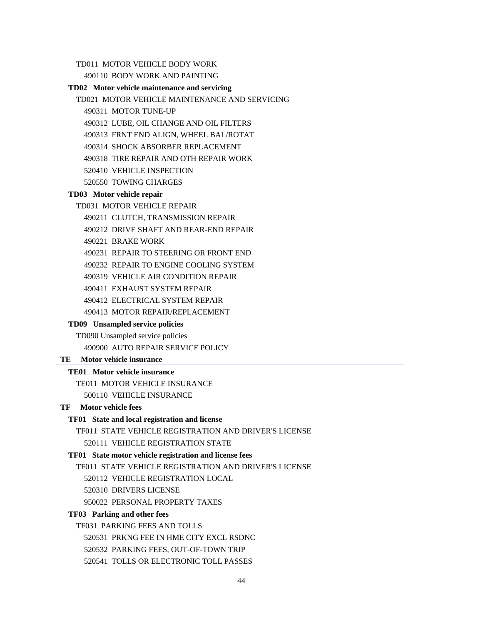TD011 MOTOR VEHICLE BODY WORK

490110 BODY WORK AND PAINTING

#### **TD02 Motor vehicle maintenance and servicing**

TD021 MOTOR VEHICLE MAINTENANCE AND SERVICING

- 490311 MOTOR TUNE-UP
- 490312 LUBE, OIL CHANGE AND OIL FILTERS
- 490313 FRNT END ALIGN, WHEEL BAL/ROTAT
- 490314 SHOCK ABSORBER REPLACEMENT
- 490318 TIRE REPAIR AND OTH REPAIR WORK
- 520410 VEHICLE INSPECTION
- 520550 TOWING CHARGES

## **TD03 Motor vehicle repair**

#### TD031 MOTOR VEHICLE REPAIR

- 490211 CLUTCH, TRANSMISSION REPAIR
- 490212 DRIVE SHAFT AND REAR-END REPAIR
- 490221 BRAKE WORK
- 490231 REPAIR TO STEERING OR FRONT END
- 490232 REPAIR TO ENGINE COOLING SYSTEM
- 490319 VEHICLE AIR CONDITION REPAIR
- 490411 EXHAUST SYSTEM REPAIR
- 490412 ELECTRICAL SYSTEM REPAIR
- 490413 MOTOR REPAIR/REPLACEMENT

## **TD09 Unsampled service policies**

TD090 Unsampled service policies 490900 AUTO REPAIR SERVICE POLICY

#### **TE Motor vehicle insurance**

#### **TE01 Motor vehicle insurance**

- TE011 MOTOR VEHICLE INSURANCE
	- 500110 VEHICLE INSURANCE

### **TF Motor vehicle fees**

#### **TF01 State and local registration and license**

TF011 STATE VEHICLE REGISTRATION AND DRIVER'S LICENSE

520111 VEHICLE REGISTRATION STATE

#### **TF01 State motor vehicle registration and license fees**

TF011 STATE VEHICLE REGISTRATION AND DRIVER'S LICENSE

520112 VEHICLE REGISTRATION LOCAL

520310 DRIVERS LICENSE

950022 PERSONAL PROPERTY TAXES

#### **TF03 Parking and other fees**

TF031 PARKING FEES AND TOLLS

520531 PRKNG FEE IN HME CITY EXCL RSDNC

520532 PARKING FEES, OUT-OF-TOWN TRIP

520541 TOLLS OR ELECTRONIC TOLL PASSES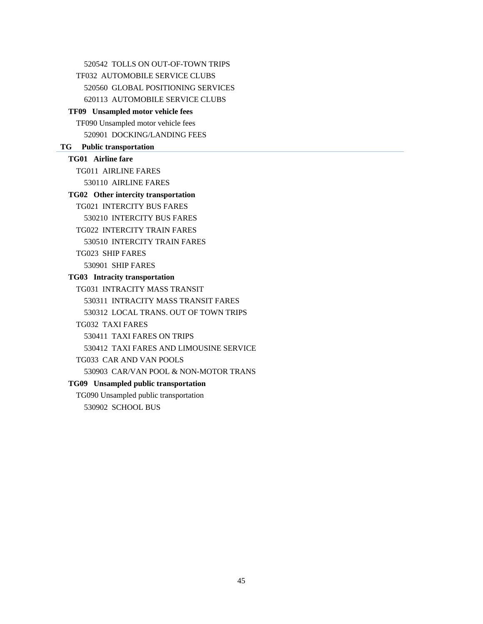520542 TOLLS ON OUT-OF-TOWN TRIPS TF032 AUTOMOBILE SERVICE CLUBS 520560 GLOBAL POSITIONING SERVICES 620113 AUTOMOBILE SERVICE CLUBS **TF09 Unsampled motor vehicle fees**  TF090 Unsampled motor vehicle fees 520901 DOCKING/LANDING FEES **TG Public transportation TG01 Airline fare**  TG011 AIRLINE FARES 530110 AIRLINE FARES **TG02 Other intercity transportation**  TG021 INTERCITY BUS FARES 530210 INTERCITY BUS FARES TG022 INTERCITY TRAIN FARES 530510 INTERCITY TRAIN FARES TG023 SHIP FARES 530901 SHIP FARES **TG03 Intracity transportation**  TG031 INTRACITY MASS TRANSIT 530311 INTRACITY MASS TRANSIT FARES 530312 LOCAL TRANS. OUT OF TOWN TRIPS TG032 TAXI FARES 530411 TAXI FARES ON TRIPS 530412 TAXI FARES AND LIMOUSINE SERVICE TG033 CAR AND VAN POOLS 530903 CAR/VAN POOL & NON-MOTOR TRANS **TG09 Unsampled public transportation**  TG090 Unsampled public transportation 530902 SCHOOL BUS